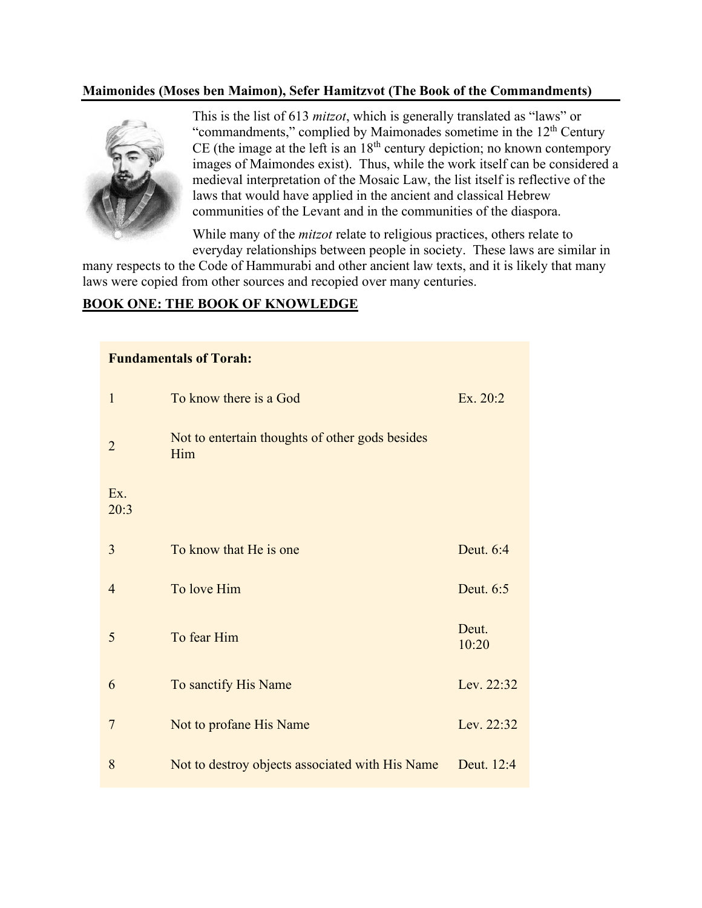#### **Maimonides (Moses ben Maimon), Sefer Hamitzvot (The Book of the Commandments)**



This is the list of 613 *mitzot*, which is generally translated as "laws" or "commandments," complied by Maimonades sometime in the 12<sup>th</sup> Century CE (the image at the left is an  $18<sup>th</sup>$  century depiction; no known contempory images of Maimondes exist). Thus, while the work itself can be considered a medieval interpretation of the Mosaic Law, the list itself is reflective of the laws that would have applied in the ancient and classical Hebrew communities of the Levant and in the communities of the diaspora.

While many of the *mitzot* relate to religious practices, others relate to everyday relationships between people in society. These laws are similar in

many respects to the Code of Hammurabi and other ancient law texts, and it is likely that many laws were copied from other sources and recopied over many centuries.

#### **BOOK ONE: THE BOOK OF KNOWLEDGE**

| <b>Fundamentals of Torah:</b> |                                                        |                |  |
|-------------------------------|--------------------------------------------------------|----------------|--|
| $\mathbf{1}$                  | To know there is a God                                 | Ex. 20:2       |  |
| $\overline{2}$                | Not to entertain thoughts of other gods besides<br>Him |                |  |
| Ex.<br>20:3                   |                                                        |                |  |
| 3                             | To know that He is one                                 | Deut. 6:4      |  |
| $\overline{4}$                | To love Him                                            | Deut. 6:5      |  |
| 5                             | To fear Him                                            | Deut.<br>10:20 |  |
| 6                             | To sanctify His Name                                   | Lev. 22:32     |  |
| 7                             | Not to profane His Name                                | Lev. 22:32     |  |
| 8                             | Not to destroy objects associated with His Name        | Deut. 12:4     |  |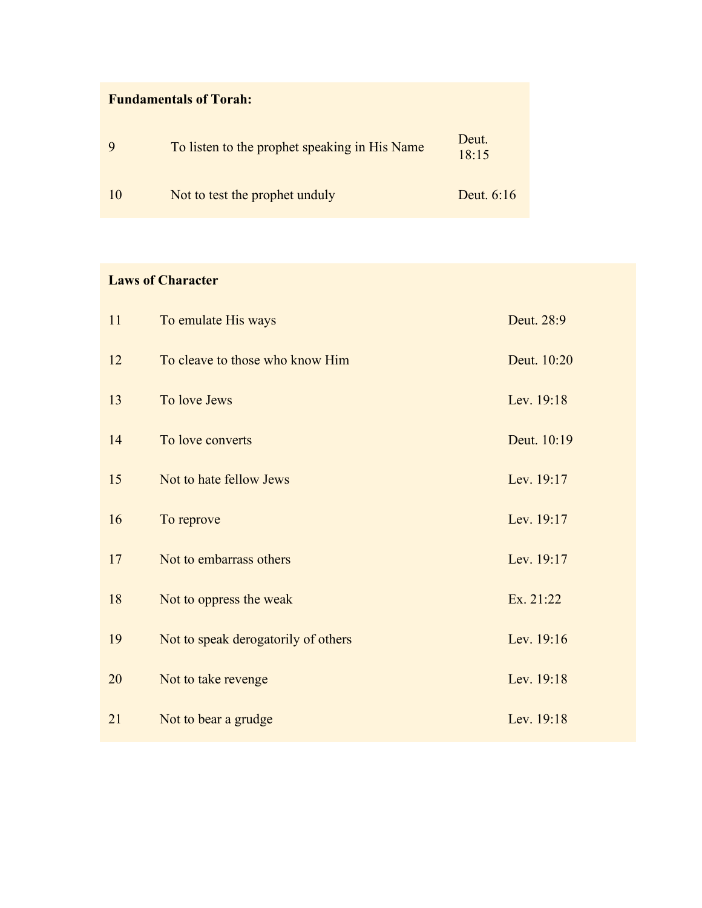| <b>Fundamentals of Torah:</b> |                                               |                |
|-------------------------------|-----------------------------------------------|----------------|
|                               | To listen to the prophet speaking in His Name | Deut.<br>18:15 |
| 10                            | Not to test the prophet unduly                | Deut. 6:16     |

### **Laws of Character**

| 11 | To emulate His ways                 | Deut. 28:9  |
|----|-------------------------------------|-------------|
| 12 | To cleave to those who know Him     | Deut. 10:20 |
| 13 | To love Jews                        | Lev. 19:18  |
| 14 | To love converts                    | Deut. 10:19 |
| 15 | Not to hate fellow Jews             | Lev. 19:17  |
| 16 | To reprove                          | Lev. 19:17  |
| 17 | Not to embarrass others             | Lev. 19:17  |
| 18 | Not to oppress the weak             | Ex. 21:22   |
| 19 | Not to speak derogatorily of others | Lev. 19:16  |
| 20 | Not to take revenge                 | Lev. 19:18  |
| 21 | Not to bear a grudge                | Lev. 19:18  |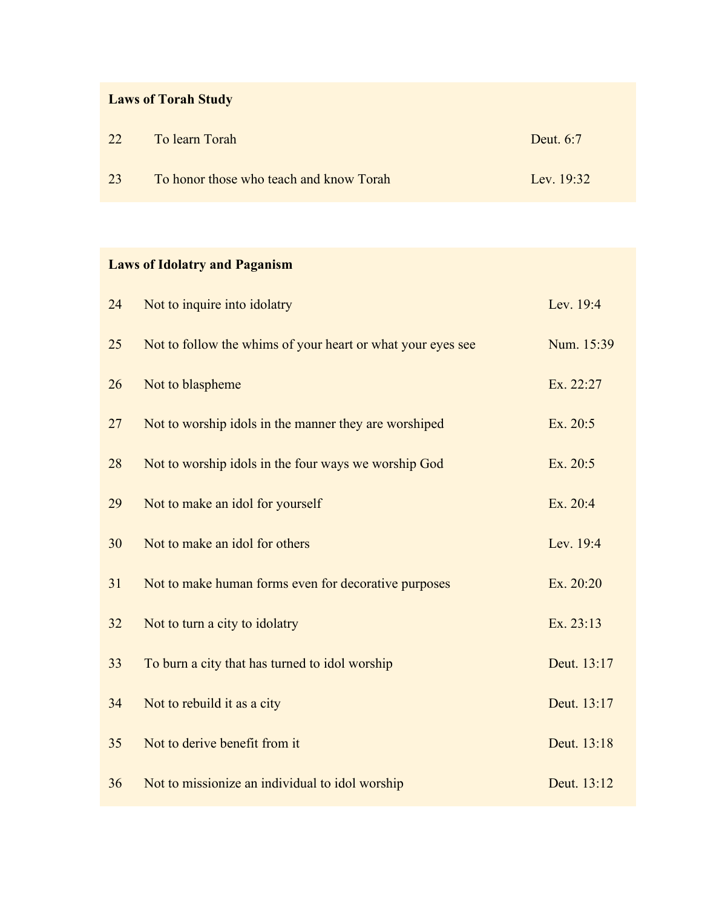# **Laws of Torah Study**

| 22 | To learn Torah                          | Deut. 6:7    |
|----|-----------------------------------------|--------------|
| 23 | To honor those who teach and know Torah | Lev. $19:32$ |

# **Laws of Idolatry and Paganism**

| 24 | Not to inquire into idolatry                                | Lev. 19:4   |
|----|-------------------------------------------------------------|-------------|
| 25 | Not to follow the whims of your heart or what your eyes see | Num. 15:39  |
| 26 | Not to blaspheme                                            | Ex. 22:27   |
| 27 | Not to worship idols in the manner they are worshiped       | Ex. 20:5    |
| 28 | Not to worship idols in the four ways we worship God        | Ex. 20:5    |
| 29 | Not to make an idol for yourself                            | Ex. 20:4    |
| 30 | Not to make an idol for others                              | Lev. 19:4   |
| 31 | Not to make human forms even for decorative purposes        | Ex. 20:20   |
| 32 | Not to turn a city to idolatry                              | Ex. 23:13   |
| 33 | To burn a city that has turned to idol worship              | Deut. 13:17 |
| 34 | Not to rebuild it as a city                                 | Deut. 13:17 |
| 35 | Not to derive benefit from it                               | Deut. 13:18 |
| 36 | Not to missionize an individual to idol worship             | Deut. 13:12 |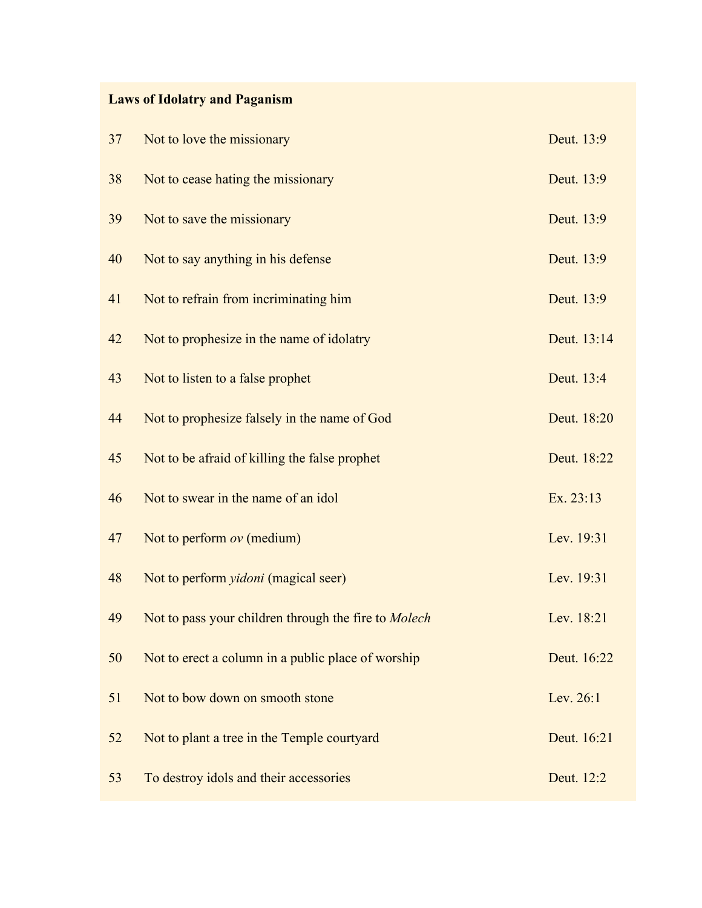# **Laws of Idolatry and Paganism**

| 37 | Not to love the missionary                           | Deut. 13:9  |
|----|------------------------------------------------------|-------------|
| 38 | Not to cease hating the missionary                   | Deut. 13:9  |
| 39 | Not to save the missionary                           | Deut. 13:9  |
| 40 | Not to say anything in his defense                   | Deut. 13:9  |
| 41 | Not to refrain from incriminating him                | Deut. 13:9  |
| 42 | Not to prophesize in the name of idolatry            | Deut. 13:14 |
| 43 | Not to listen to a false prophet                     | Deut. 13:4  |
| 44 | Not to prophesize falsely in the name of God         | Deut. 18:20 |
| 45 | Not to be afraid of killing the false prophet        | Deut. 18:22 |
| 46 | Not to swear in the name of an idol                  | Ex. 23:13   |
| 47 | Not to perform $ov$ (medium)                         | Lev. 19:31  |
| 48 | Not to perform <i>yidoni</i> (magical seer)          | Lev. 19:31  |
| 49 | Not to pass your children through the fire to Molech | Lev. 18:21  |
| 50 | Not to erect a column in a public place of worship   | Deut. 16:22 |
| 51 | Not to bow down on smooth stone                      | Lev. 26:1   |
| 52 | Not to plant a tree in the Temple courtyard          | Deut. 16:21 |
| 53 | To destroy idols and their accessories               | Deut. 12:2  |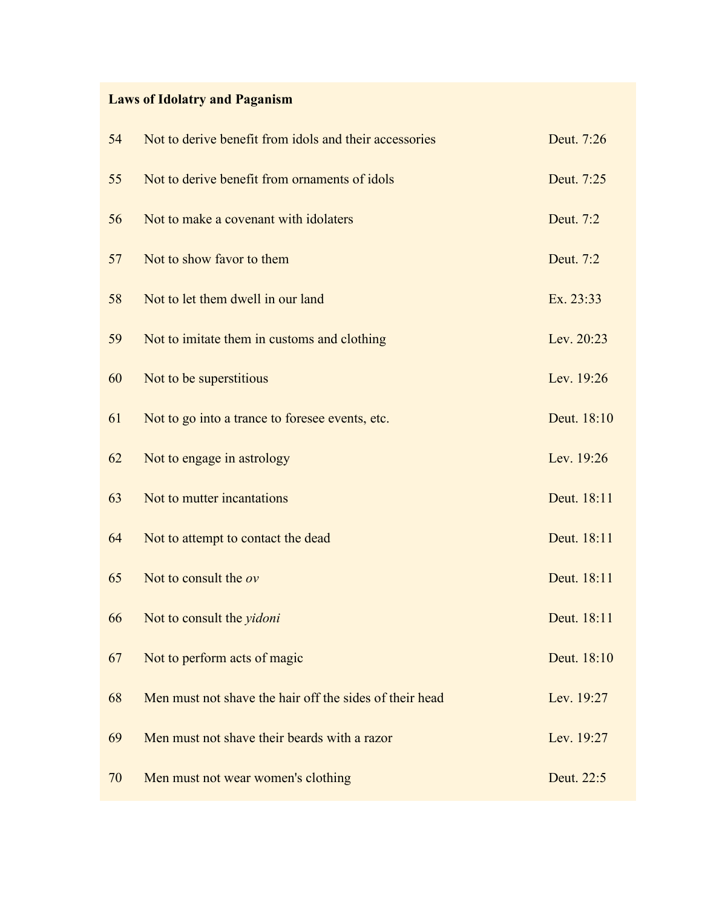# **Laws of Idolatry and Paganism**

| 54 | Not to derive benefit from idols and their accessories  | Deut. 7:26  |
|----|---------------------------------------------------------|-------------|
| 55 | Not to derive benefit from ornaments of idols           | Deut. 7:25  |
| 56 | Not to make a covenant with idolaters                   | Deut. 7:2   |
| 57 | Not to show favor to them                               | Deut. 7:2   |
| 58 | Not to let them dwell in our land                       | Ex. 23:33   |
| 59 | Not to imitate them in customs and clothing             | Lev. 20:23  |
| 60 | Not to be superstitious                                 | Lev. 19:26  |
| 61 | Not to go into a trance to foresee events, etc.         | Deut. 18:10 |
| 62 | Not to engage in astrology                              | Lev. 19:26  |
| 63 | Not to mutter incantations                              | Deut. 18:11 |
| 64 | Not to attempt to contact the dead                      | Deut. 18:11 |
| 65 | Not to consult the ov                                   | Deut. 18:11 |
| 66 | Not to consult the <i>yidoni</i>                        | Deut. 18:11 |
| 67 | Not to perform acts of magic                            | Deut. 18:10 |
| 68 | Men must not shave the hair off the sides of their head | Lev. 19:27  |
| 69 | Men must not shave their beards with a razor            | Lev. 19:27  |
| 70 | Men must not wear women's clothing                      | Deut. 22:5  |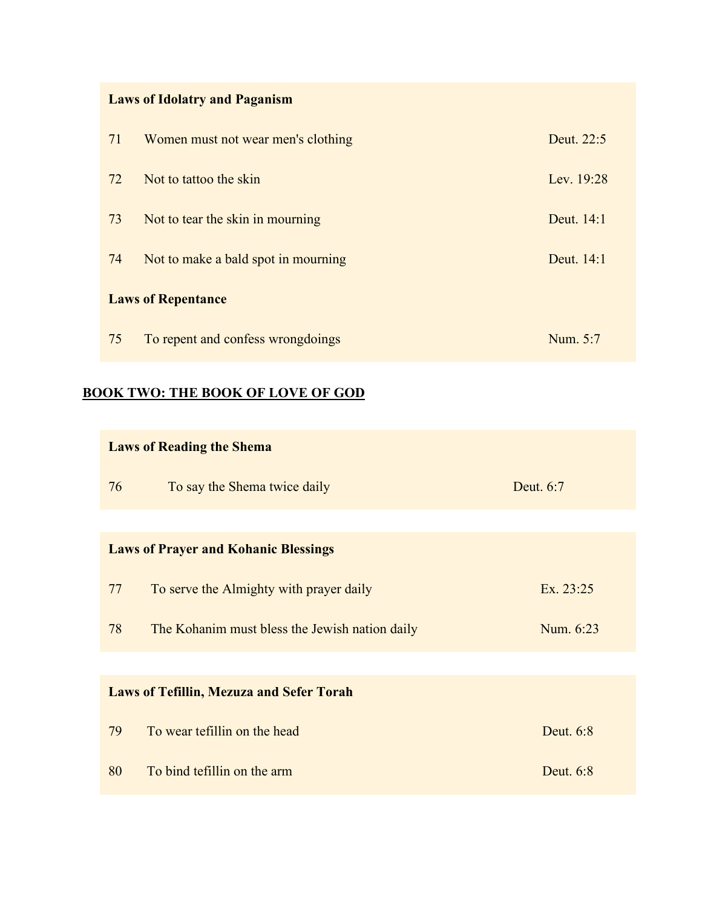# **Laws of Idolatry and Paganism**

| 71 | Women must not wear men's clothing  | Deut. 22:5 |
|----|-------------------------------------|------------|
| 72 | Not to tattoo the skin              | Lev. 19:28 |
| 73 | Not to tear the skin in mourning    | Deut. 14:1 |
| 74 | Not to make a bald spot in mourning | Deut. 14:1 |
|    | <b>Laws of Repentance</b>           |            |
| 75 | To repent and confess wrongdoings   | Num. 5:7   |

### **BOOK TWO: THE BOOK OF LOVE OF GOD**

| <b>Laws of Reading the Shema</b> |                                                 |           |  |
|----------------------------------|-------------------------------------------------|-----------|--|
| 76                               | To say the Shema twice daily                    | Deut. 6:7 |  |
|                                  |                                                 |           |  |
|                                  | <b>Laws of Prayer and Kohanic Blessings</b>     |           |  |
| 77                               | To serve the Almighty with prayer daily         | Ex. 23:25 |  |
| 78                               | The Kohanim must bless the Jewish nation daily  | Num. 6:23 |  |
|                                  |                                                 |           |  |
|                                  | <b>Laws of Tefillin, Mezuza and Sefer Torah</b> |           |  |
| 79                               | To wear tefillin on the head                    | Deut. 6:8 |  |
| 80                               | To bind tefillin on the arm                     | Deut. 6:8 |  |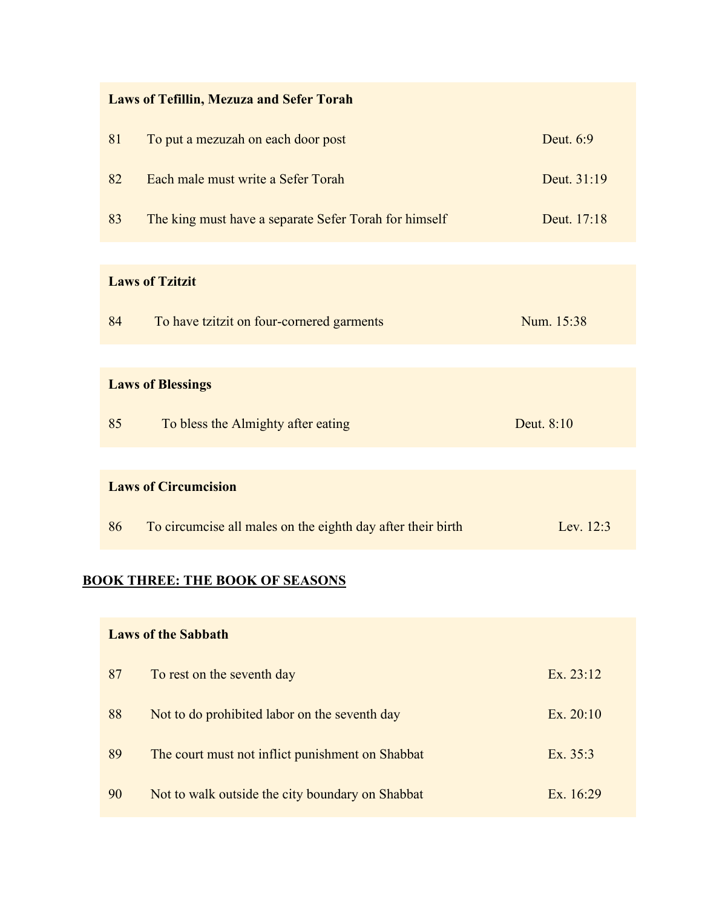|  | <b>Laws of Tefillin, Mezuza and Sefer Torah</b> |  |  |  |  |
|--|-------------------------------------------------|--|--|--|--|
|--|-------------------------------------------------|--|--|--|--|

| 81 | To put a mezuzah on each door post                    | Deut. 6:9   |
|----|-------------------------------------------------------|-------------|
| 82 | Each male must write a Sefer Torah                    | Deut. 31:19 |
| 83 | The king must have a separate Sefer Torah for himself | Deut. 17:18 |
|    |                                                       |             |
|    | <b>Laws of Tzitzit</b>                                |             |
| 84 | To have tzitzit on four-cornered garments             | Num. 15:38  |
|    |                                                       |             |

#### **Laws of Blessings**

| 85<br>To bless the Almighty after eating | Deut. 8:10 |
|------------------------------------------|------------|
|------------------------------------------|------------|

#### **Laws of Circumcision**

| 86 |  | To circumcise all males on the eighth day after their birth | Lev. $12:3$ |
|----|--|-------------------------------------------------------------|-------------|
|----|--|-------------------------------------------------------------|-------------|

#### **BOOK THREE: THE BOOK OF SEASONS**

# **Laws of the Sabbath** 87 Solution To rest on the seventh day Ex. 23:12 88 Not to do prohibited labor on the seventh day Ex. 20:10 89 The court must not inflict punishment on Shabbat Ex. 35:3

90 Not to walk outside the city boundary on Shabbat Ex. 16:29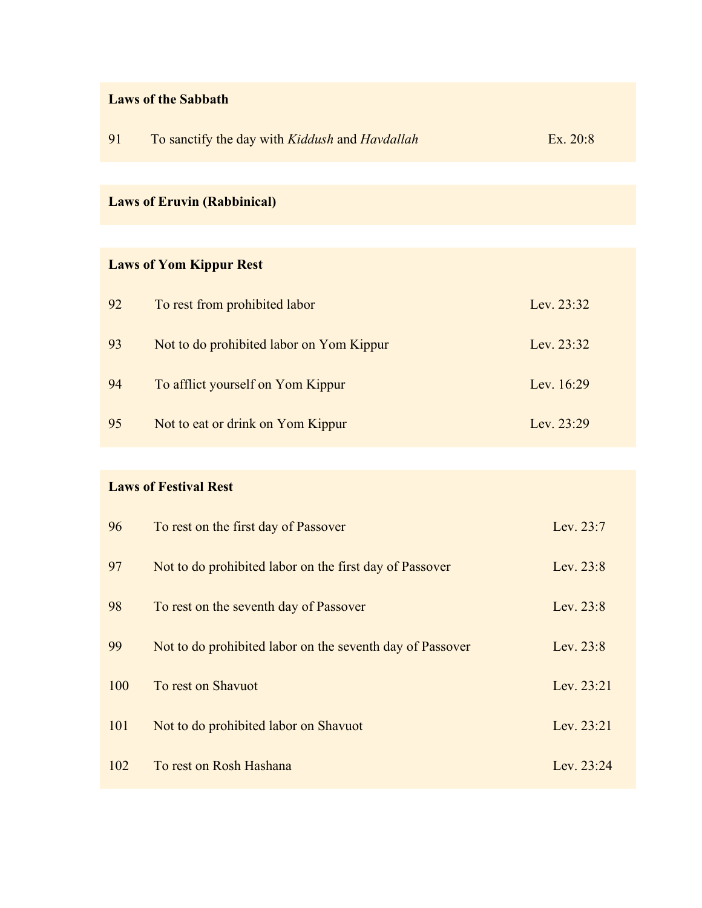### **Laws of the Sabbath**

| 91 | To sanctify the day with Kiddush and Havdallah | Ex. 20:8 |
|----|------------------------------------------------|----------|
|----|------------------------------------------------|----------|

# **Laws of Eruvin (Rabbinical)**

# **Laws of Yom Kippur Rest**

| 92 | To rest from prohibited labor            | Lev. $23:32$ |
|----|------------------------------------------|--------------|
| 93 | Not to do prohibited labor on Yom Kippur | Lev. 23:32   |
| 94 | To afflict yourself on Yom Kippur        | Lev. $16:29$ |
| 95 | Not to eat or drink on Yom Kippur        | Lev. $23:29$ |

### **Laws of Festival Rest**

| 96  | To rest on the first day of Passover                      | Lev. 23:7  |
|-----|-----------------------------------------------------------|------------|
| 97  | Not to do prohibited labor on the first day of Passover   | Lev. 23:8  |
| 98  | To rest on the seventh day of Passover                    | Lev. 23:8  |
| 99  | Not to do prohibited labor on the seventh day of Passover | Lev. 23:8  |
| 100 | To rest on Shavuot                                        | Lev. 23:21 |
| 101 | Not to do prohibited labor on Shavuot                     | Lev. 23:21 |
| 102 | To rest on Rosh Hashana                                   | Lev. 23:24 |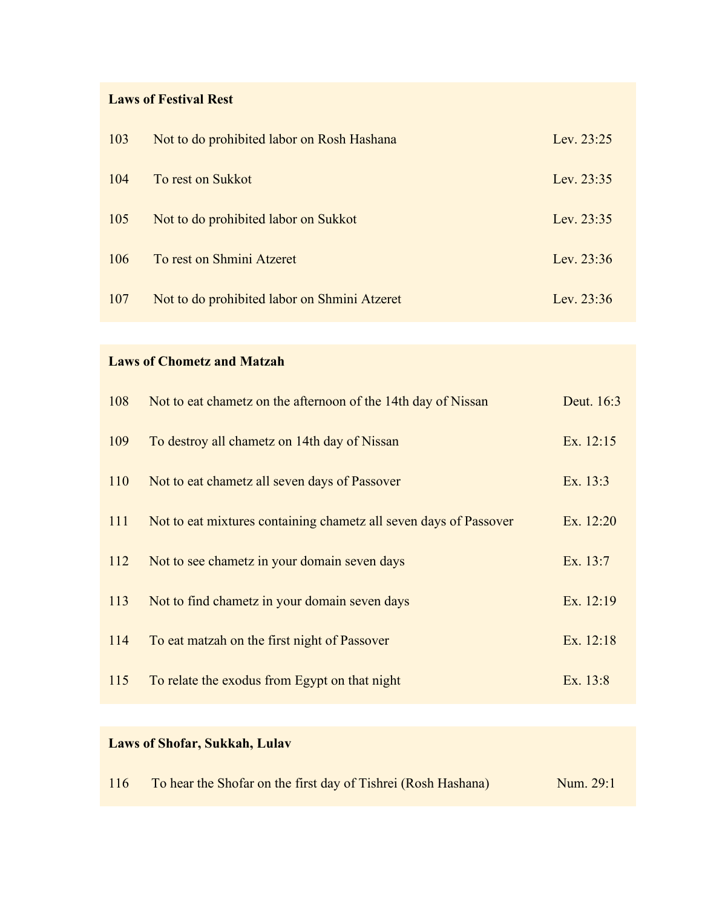### **Laws of Festival Rest**

| 103 | Not to do prohibited labor on Rosh Hashana   | Lev. $23:25$ |
|-----|----------------------------------------------|--------------|
| 104 | To rest on Sukkot                            | Lev. $23:35$ |
| 105 | Not to do prohibited labor on Sukkot         | Lev. 23:35   |
| 106 | To rest on Shmini Atzeret                    | Lev. 23:36   |
| 107 | Not to do prohibited labor on Shmini Atzeret | Lev. $23:36$ |

### **Laws of Chometz and Matzah**

| 108 | Not to eat chametz on the afternoon of the 14th day of Nissan     | Deut. 16:3 |
|-----|-------------------------------------------------------------------|------------|
| 109 | To destroy all chametz on 14th day of Nissan                      | Ex. 12:15  |
| 110 | Not to eat chametz all seven days of Passover                     | Ex. 13:3   |
| 111 | Not to eat mixtures containing chametz all seven days of Passover | Ex. 12:20  |
| 112 | Not to see chametz in your domain seven days                      | Ex. 13:7   |
| 113 | Not to find chametz in your domain seven days                     | Ex. 12:19  |
| 114 | To eat matzah on the first night of Passover                      | Ex. 12:18  |
| 115 | To relate the exodus from Egypt on that night                     | Ex. 13:8   |

# **Laws of Shofar, Sukkah, Lulav**

| 116 |  |  | To hear the Shofar on the first day of Tishrei (Rosh Hashana) | Num. 29:1 |
|-----|--|--|---------------------------------------------------------------|-----------|
|-----|--|--|---------------------------------------------------------------|-----------|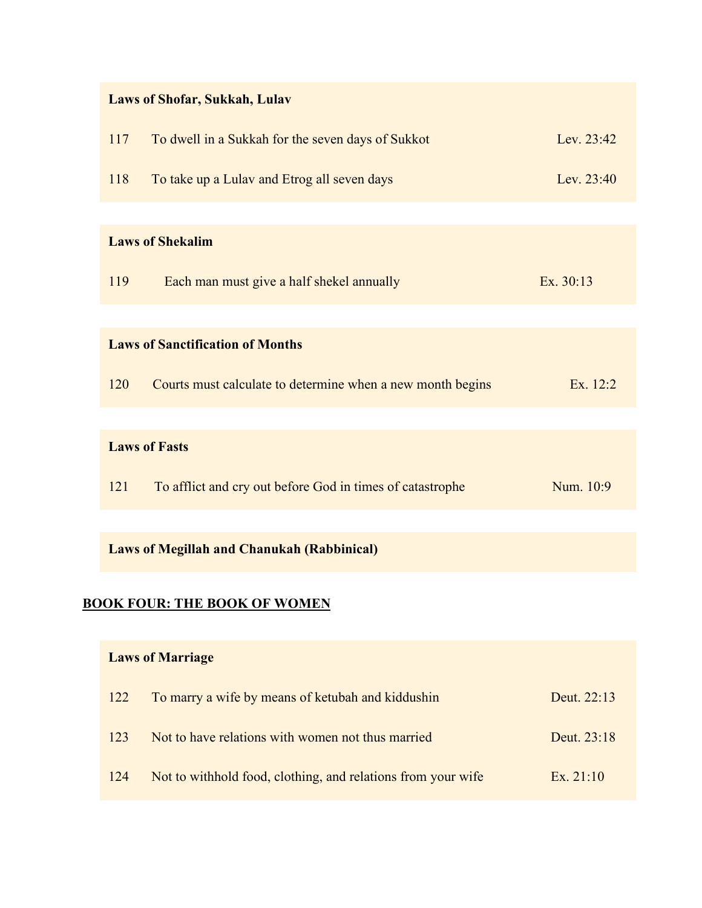| <b>Laws of Shofar, Sukkah, Lulav</b> |                                                              |             |  |
|--------------------------------------|--------------------------------------------------------------|-------------|--|
| 117                                  | To dwell in a Sukkah for the seven days of Sukkot            | Lev. 23:42  |  |
| 118                                  | To take up a Lulav and Etrog all seven days                  | Lev. 23:40  |  |
|                                      |                                                              |             |  |
|                                      | <b>Laws of Shekalim</b>                                      |             |  |
| 119                                  | Each man must give a half shekel annually                    | Ex. 30:13   |  |
|                                      |                                                              |             |  |
|                                      | <b>Laws of Sanctification of Months</b>                      |             |  |
| 120                                  | Courts must calculate to determine when a new month begins   | Ex. $12:2$  |  |
|                                      |                                                              |             |  |
|                                      | <b>Laws of Fasts</b>                                         |             |  |
| 121                                  | To afflict and cry out before God in times of catastrophe    | Num. 10:9   |  |
|                                      |                                                              |             |  |
|                                      | <b>Laws of Megillah and Chanukah (Rabbinical)</b>            |             |  |
|                                      |                                                              |             |  |
|                                      | <u>BOOK FOUR: THE BOOK OF WOMEN</u>                          |             |  |
|                                      | <b>Laws of Marriage</b>                                      |             |  |
| 122                                  | To marry a wife by means of ketubah and kiddushin            | Deut. 22:13 |  |
| 123                                  | Not to have relations with women not thus married            | Deut. 23:18 |  |
| 124                                  | Not to withhold food, clothing, and relations from your wife | Ex. 21:10   |  |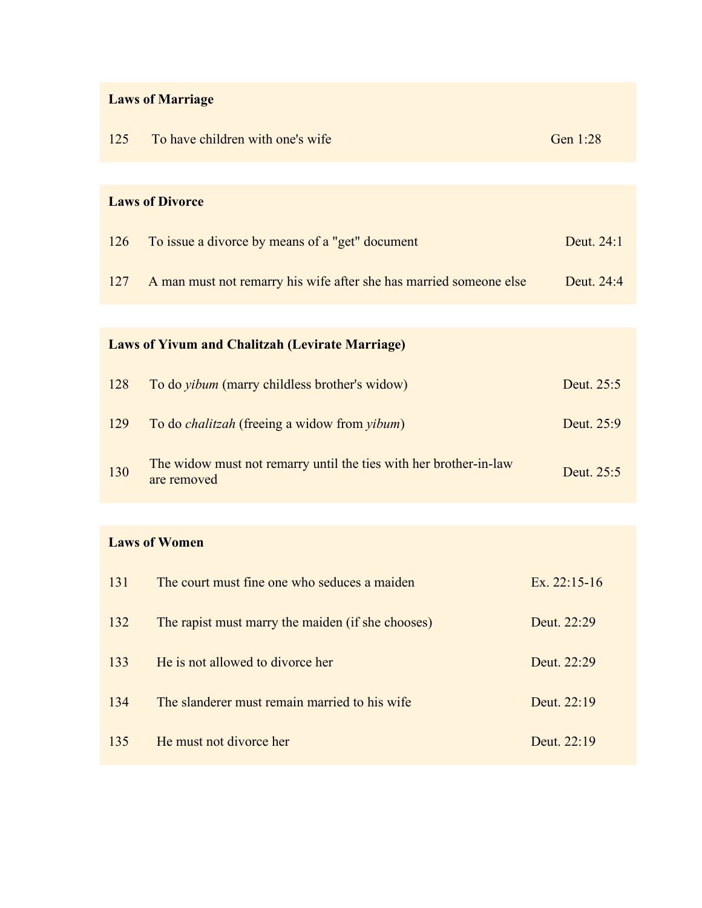# **Laws of Marriage**

| 125 | To have children with one's wife                                                 | Gen 1:28   |
|-----|----------------------------------------------------------------------------------|------------|
|     |                                                                                  |            |
|     | <b>Laws of Divorce</b>                                                           |            |
| 126 | To issue a divorce by means of a "get" document                                  | Deut. 24:1 |
| 127 | A man must not remarry his wife after she has married someone else               | Deut. 24:4 |
|     |                                                                                  |            |
|     | <b>Laws of Yivum and Chalitzah (Levirate Marriage)</b>                           |            |
| 128 | To do <i>yibum</i> (marry childless brother's widow)                             | Deut. 25:5 |
| 129 | To do <i>chalitzah</i> (freeing a widow from <i>yibum</i> )                      | Deut. 25:9 |
| 130 | The widow must not remarry until the ties with her brother-in-law<br>are removed | Deut. 25:5 |

# **Laws of Women**

| 131 | The court must fine one who seduces a maiden      | Ex. $22:15-16$ |
|-----|---------------------------------------------------|----------------|
| 132 | The rapist must marry the maiden (if she chooses) | Deut. 22:29    |
| 133 | He is not allowed to divorce her                  | Deut. 22:29    |
| 134 | The slanderer must remain married to his wife     | Deut. 22:19    |
| 135 | He must not divorce her                           | Deut. $22:19$  |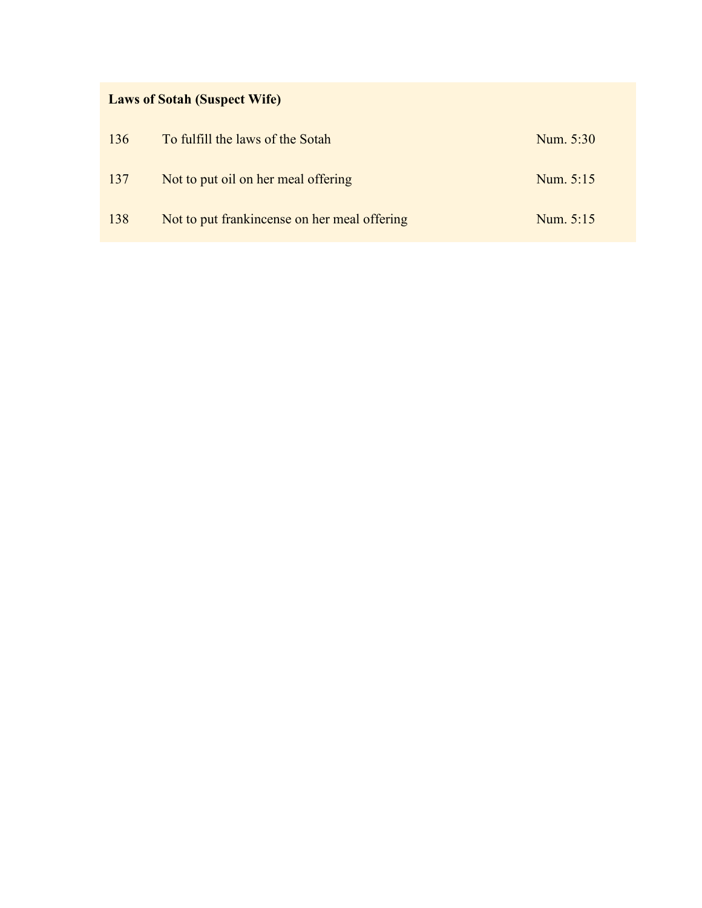# **Laws of Sotah (Suspect Wife)**

| 136 | To fulfill the laws of the Sotah             | Num. 5:30 |
|-----|----------------------------------------------|-----------|
| 137 | Not to put oil on her meal offering          | Num. 5:15 |
| 138 | Not to put frankincense on her meal offering | Num. 5:15 |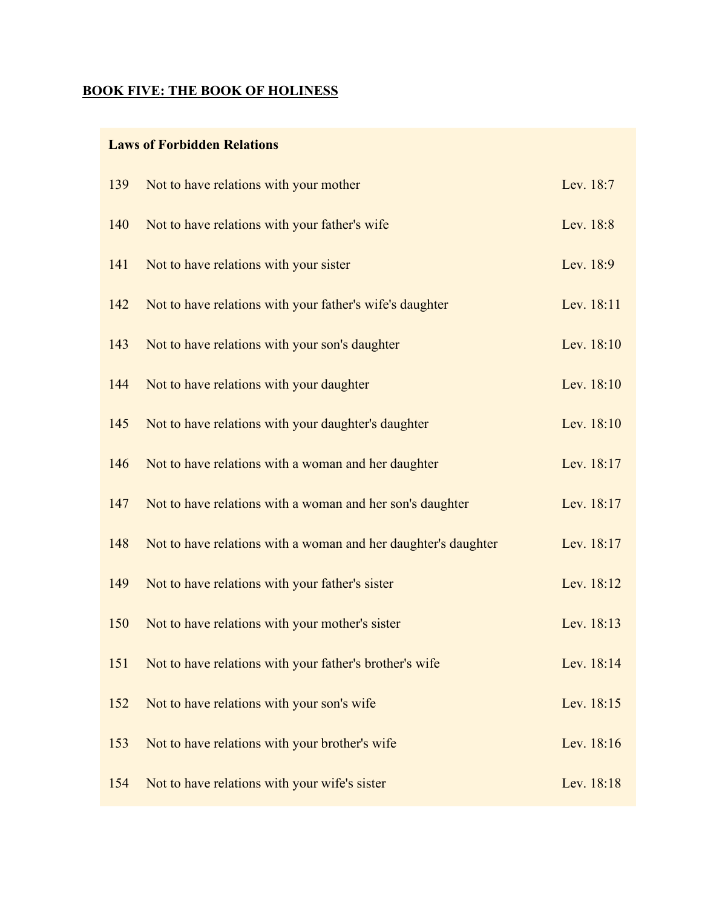### **BOOK FIVE: THE BOOK OF HOLINESS**

### **Laws of Forbidden Relations**

| 139 | Not to have relations with your mother                         | Lev. 18:7  |
|-----|----------------------------------------------------------------|------------|
| 140 | Not to have relations with your father's wife                  | Lev. 18:8  |
| 141 | Not to have relations with your sister                         | Lev. 18:9  |
| 142 | Not to have relations with your father's wife's daughter       | Lev. 18:11 |
| 143 | Not to have relations with your son's daughter                 | Lev. 18:10 |
| 144 | Not to have relations with your daughter                       | Lev. 18:10 |
| 145 | Not to have relations with your daughter's daughter            | Lev. 18:10 |
| 146 | Not to have relations with a woman and her daughter            | Lev. 18:17 |
| 147 | Not to have relations with a woman and her son's daughter      | Lev. 18:17 |
| 148 | Not to have relations with a woman and her daughter's daughter | Lev. 18:17 |
| 149 | Not to have relations with your father's sister                | Lev. 18:12 |
| 150 | Not to have relations with your mother's sister                | Lev. 18:13 |
| 151 | Not to have relations with your father's brother's wife        | Lev. 18:14 |
| 152 | Not to have relations with your son's wife                     | Lev. 18:15 |
| 153 | Not to have relations with your brother's wife                 | Lev. 18:16 |
| 154 | Not to have relations with your wife's sister                  | Lev. 18:18 |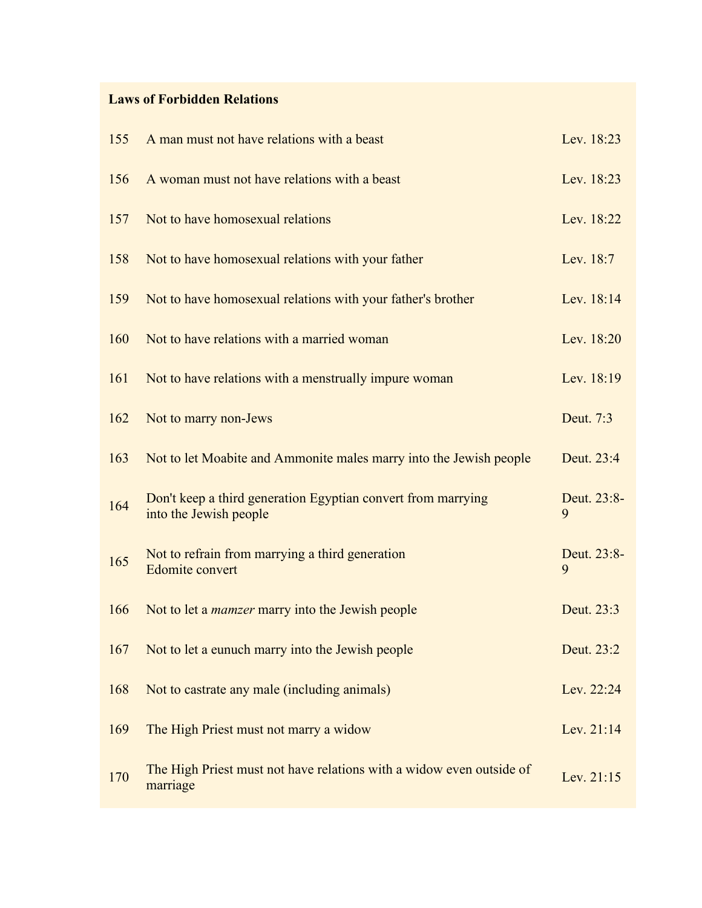### **Laws of Forbidden Relations**

| 155 | A man must not have relations with a beast                                             | Lev. 18:23       |
|-----|----------------------------------------------------------------------------------------|------------------|
| 156 | A woman must not have relations with a beast                                           | Lev. 18:23       |
| 157 | Not to have homosexual relations                                                       | Lev. 18:22       |
| 158 | Not to have homosexual relations with your father                                      | Lev. 18:7        |
| 159 | Not to have homosexual relations with your father's brother                            | Lev. 18:14       |
| 160 | Not to have relations with a married woman                                             | Lev. 18:20       |
| 161 | Not to have relations with a menstrually impure woman                                  | Lev. 18:19       |
| 162 | Not to marry non-Jews                                                                  | Deut. 7:3        |
| 163 | Not to let Moabite and Ammonite males marry into the Jewish people                     | Deut. 23:4       |
| 164 | Don't keep a third generation Egyptian convert from marrying<br>into the Jewish people | Deut. 23:8-<br>9 |
| 165 | Not to refrain from marrying a third generation<br><b>Edomite</b> convert              | Deut. 23:8-<br>9 |
| 166 | Not to let a <i>mamzer</i> marry into the Jewish people                                | Deut. 23:3       |
| 167 | Not to let a eunuch marry into the Jewish people                                       | Deut. 23:2       |
| 168 | Not to castrate any male (including animals)                                           | Lev. 22:24       |
| 169 | The High Priest must not marry a widow                                                 | Lev. 21:14       |
| 170 | The High Priest must not have relations with a widow even outside of<br>marriage       | Lev. 21:15       |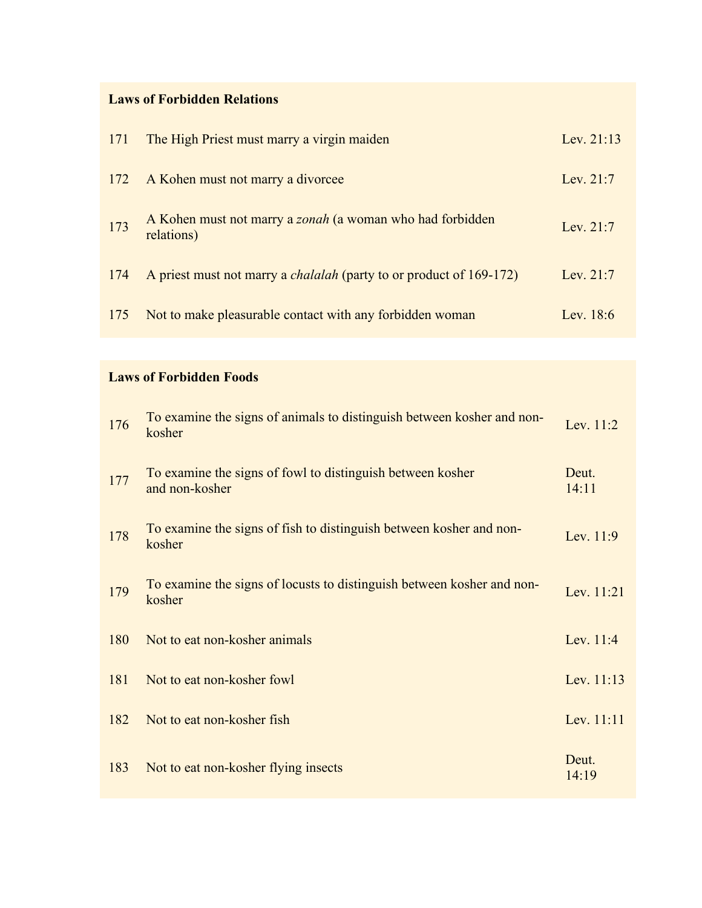#### **Laws of Forbidden Relations**

| 171 | The High Priest must marry a virgin maiden                                     | Lev. $21:13$ |
|-----|--------------------------------------------------------------------------------|--------------|
|     | 172 A Kohen must not marry a divorcee                                          | Lev. 21:7    |
| 173 | A Kohen must not marry a <i>zonah</i> (a woman who had forbidden<br>relations) | Lev. 21:7    |
| 174 | A priest must not marry a <i>chalalah</i> (party to or product of 169-172)     | Lev. $21:7$  |
| 175 | Not to make pleasurable contact with any forbidden woman                       | Lev. $18:6$  |

# **Laws of Forbidden Foods**

| 176 | To examine the signs of animals to distinguish between kosher and non-<br>kosher | Lev. 11:2      |
|-----|----------------------------------------------------------------------------------|----------------|
| 177 | To examine the signs of fowl to distinguish between kosher<br>and non-kosher     | Deut.<br>14:11 |
| 178 | To examine the signs of fish to distinguish between kosher and non-<br>kosher    | Lev. 11:9      |
| 179 | To examine the signs of locusts to distinguish between kosher and non-<br>kosher | Lev. 11:21     |
| 180 | Not to eat non-kosher animals                                                    | Lev. 11:4      |
| 181 | Not to eat non-kosher fowl                                                       | Lev. 11:13     |
| 182 | Not to eat non-kosher fish                                                       | Lev. 11:11     |
| 183 | Not to eat non-kosher flying insects                                             | Deut.<br>14:19 |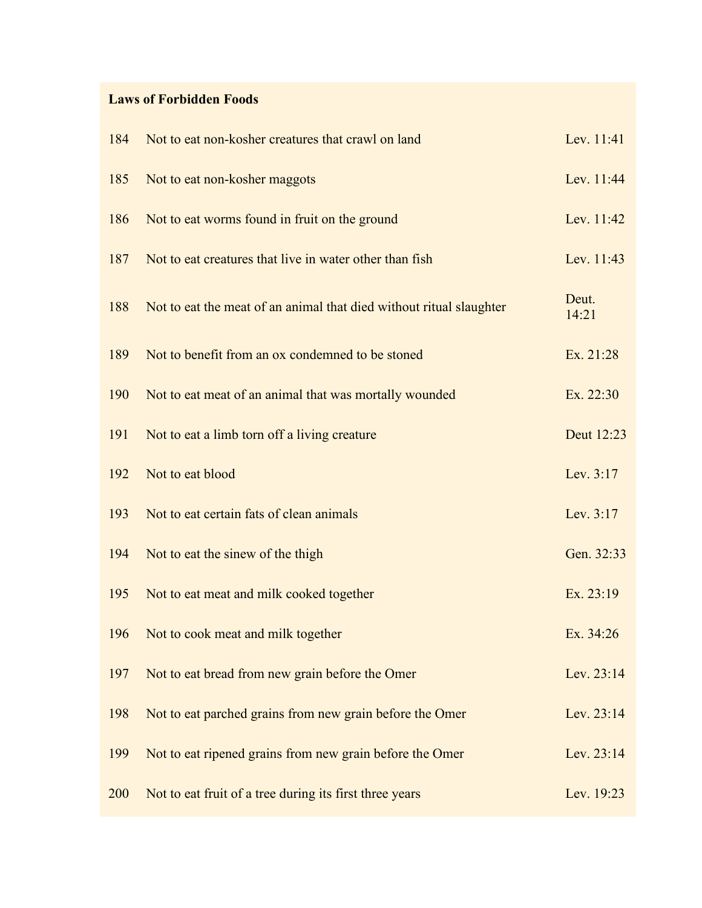### **Laws of Forbidden Foods**

| 184 | Not to eat non-kosher creatures that crawl on land                  | Lev. 11:41     |
|-----|---------------------------------------------------------------------|----------------|
| 185 | Not to eat non-kosher maggots                                       | Lev. 11:44     |
| 186 | Not to eat worms found in fruit on the ground                       | Lev. 11:42     |
| 187 | Not to eat creatures that live in water other than fish             | Lev. 11:43     |
| 188 | Not to eat the meat of an animal that died without ritual slaughter | Deut.<br>14:21 |
| 189 | Not to benefit from an ox condemned to be stoned                    | Ex. 21:28      |
| 190 | Not to eat meat of an animal that was mortally wounded              | Ex. 22:30      |
| 191 | Not to eat a limb torn off a living creature                        | Deut 12:23     |
| 192 | Not to eat blood                                                    | Lev. 3:17      |
| 193 | Not to eat certain fats of clean animals                            | Lev. 3:17      |
| 194 | Not to eat the sinew of the thigh                                   | Gen. 32:33     |
| 195 | Not to eat meat and milk cooked together                            | Ex. 23:19      |
| 196 | Not to cook meat and milk together                                  | Ex. 34:26      |
| 197 | Not to eat bread from new grain before the Omer                     | Lev. 23:14     |
| 198 | Not to eat parched grains from new grain before the Omer            | Lev. 23:14     |
| 199 | Not to eat ripened grains from new grain before the Omer            | Lev. 23:14     |
| 200 | Not to eat fruit of a tree during its first three years             | Lev. 19:23     |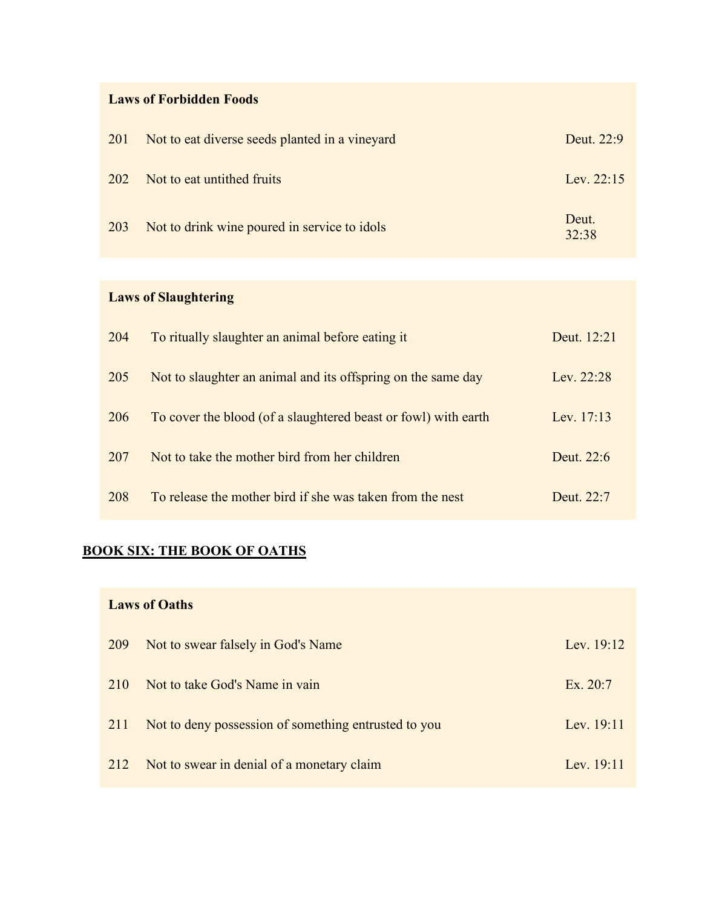#### **Laws of Forbidden Foods**

| 201        | Not to eat diverse seeds planted in a vineyard | Deut. 22:9     |
|------------|------------------------------------------------|----------------|
| <b>202</b> | Not to eat untithed fruits                     | Lev. $22:15$   |
| 203        | Not to drink wine poured in service to idols   | Deut.<br>32:38 |

# **Laws of Slaughtering**

| 204 | To ritually slaughter an animal before eating it               | Deut. 12:21  |
|-----|----------------------------------------------------------------|--------------|
| 205 | Not to slaughter an animal and its offspring on the same day   | Lev. $22:28$ |
| 206 | To cover the blood (of a slaughtered beast or fowl) with earth | Lev. 17:13   |
| 207 | Not to take the mother bird from her children                  | Deut. 22:6   |
| 208 | To release the mother bird if she was taken from the nest      | Deut. 22:7   |

# **BOOK SIX: THE BOOK OF OATHS**

### **Laws of Oaths**

| 209 | Not to swear falsely in God's Name                   | Lev. 19:12 |
|-----|------------------------------------------------------|------------|
| 210 | Not to take God's Name in vain                       | Ex. 20:7   |
| 211 | Not to deny possession of something entrusted to you | Lev. 19:11 |
| 212 | Not to swear in denial of a monetary claim           | Lev. 19:11 |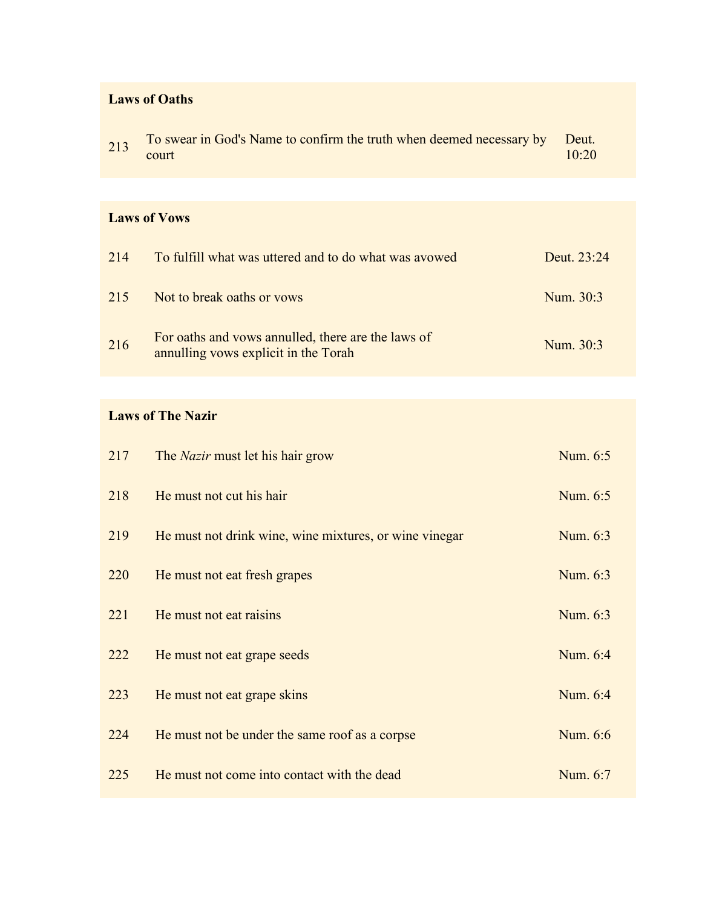#### **Laws of Oaths**

| 213 | To swear in God's Name to confirm the truth when deemed necessary by Deut. |       |
|-----|----------------------------------------------------------------------------|-------|
|     | court                                                                      | 10:20 |

#### **Laws of Vows**

| 214 | To fulfill what was uttered and to do what was avowed                                      | Deut. 23:24 |
|-----|--------------------------------------------------------------------------------------------|-------------|
| 215 | Not to break oaths or vows                                                                 | Num. 30:3   |
| 216 | For oaths and vows annulled, there are the laws of<br>annulling vows explicit in the Torah | Num. 30:3   |

### **Laws of The Nazir**

| 217 | The <i>Nazir</i> must let his hair grow                | Num. 6:5 |
|-----|--------------------------------------------------------|----------|
| 218 | He must not cut his hair                               | Num. 6:5 |
| 219 | He must not drink wine, wine mixtures, or wine vinegar | Num. 6:3 |
| 220 | He must not eat fresh grapes                           | Num. 6:3 |
| 221 | He must not eat raisins                                | Num. 6:3 |
| 222 | He must not eat grape seeds                            | Num. 6:4 |
| 223 | He must not eat grape skins                            | Num. 6:4 |
| 224 | He must not be under the same roof as a corpse         | Num. 6:6 |
| 225 | He must not come into contact with the dead            | Num. 6:7 |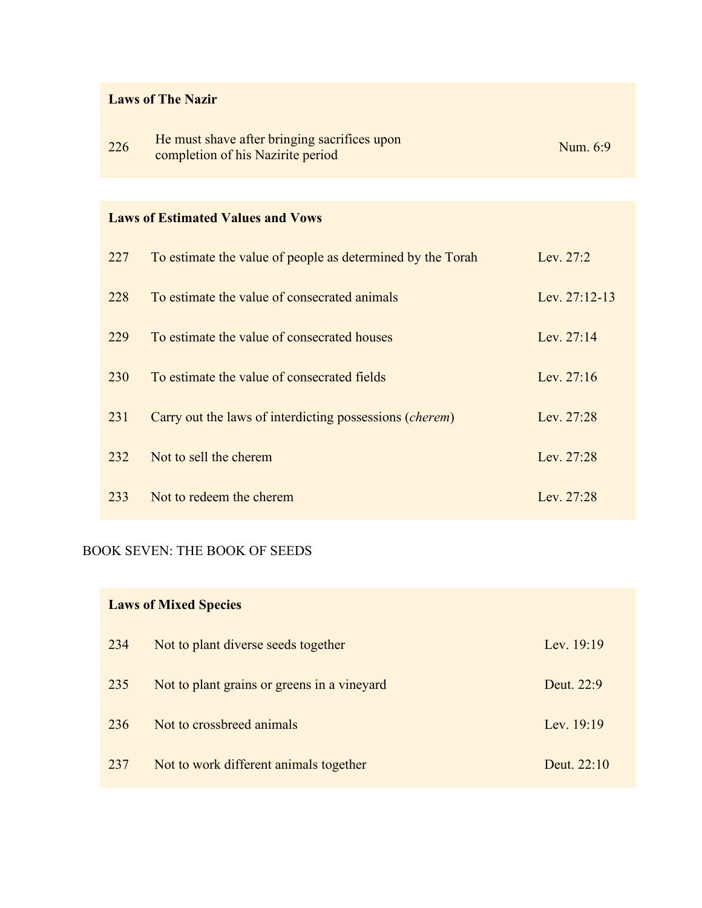# **Laws of The Nazir**

| 226 | He must shave after bringing sacrifices upon | Num. 6:9 |
|-----|----------------------------------------------|----------|
|     | completion of his Nazirite period            |          |

### **Laws of Estimated Values and Vows**

| 227 | To estimate the value of people as determined by the Torah       | Lev. 27:2     |
|-----|------------------------------------------------------------------|---------------|
| 228 | To estimate the value of consecrated animals                     | Lev. 27:12-13 |
| 229 | To estimate the value of consecrated houses                      | Lev. $27:14$  |
| 230 | To estimate the value of consecrated fields                      | Lev. $27:16$  |
| 231 | Carry out the laws of interdicting possessions ( <i>cherem</i> ) | Lev. 27:28    |
| 232 | Not to sell the cherem                                           | Lev. 27:28    |
| 233 | Not to redeem the cherem                                         | Lev. $27:28$  |

### BOOK SEVEN: THE BOOK OF SEEDS

| <b>Laws of Mixed Species</b> |                                             |               |
|------------------------------|---------------------------------------------|---------------|
| 234                          | Not to plant diverse seeds together         | Lev. $19:19$  |
| 235                          | Not to plant grains or greens in a vineyard | Deut. 22:9    |
| 236                          | Not to crossbreed animals                   | Lev. $19:19$  |
| 237                          | Not to work different animals together      | Deut. $22:10$ |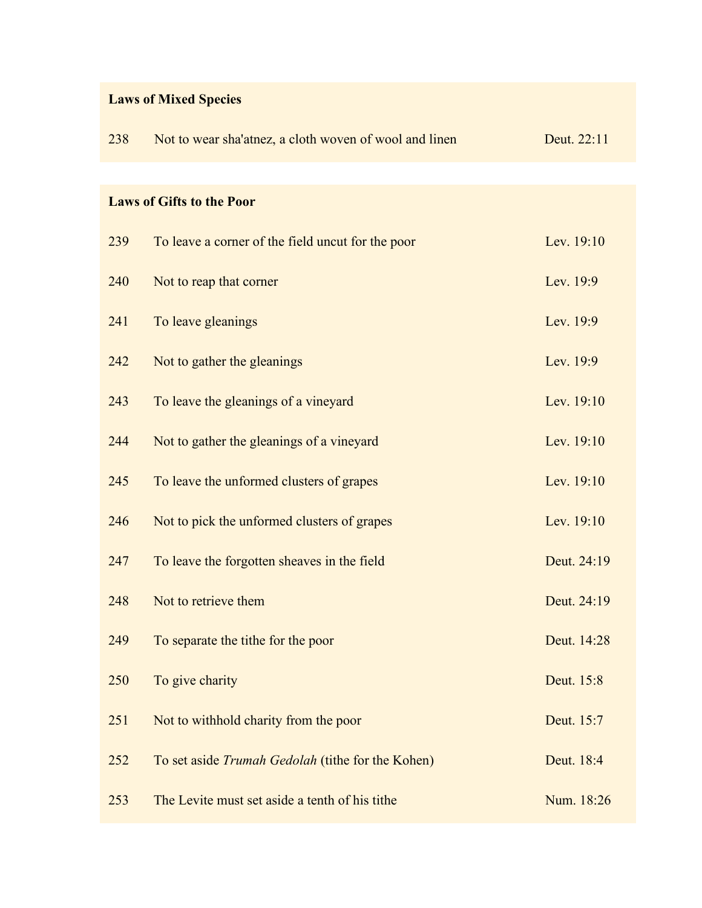| <b>Laws of Mixed Species</b> |  |  |
|------------------------------|--|--|
|------------------------------|--|--|

| 238 | Not to wear sha'atnez, a cloth woven of wool and linen | Deut. 22:11 |
|-----|--------------------------------------------------------|-------------|
|     |                                                        |             |
|     | <b>Laws of Gifts to the Poor</b>                       |             |
| 239 | To leave a corner of the field uncut for the poor      | Lev. 19:10  |
| 240 | Not to reap that corner                                | Lev. 19:9   |
| 241 | To leave gleanings                                     | Lev. 19:9   |
| 242 | Not to gather the gleanings                            | Lev. 19:9   |
| 243 | To leave the gleanings of a vineyard                   | Lev. 19:10  |
| 244 | Not to gather the gleanings of a vineyard              | Lev. 19:10  |
| 245 | To leave the unformed clusters of grapes               | Lev. 19:10  |
| 246 | Not to pick the unformed clusters of grapes            | Lev. 19:10  |
| 247 | To leave the forgotten sheaves in the field            | Deut. 24:19 |
| 248 | Not to retrieve them                                   | Deut. 24:19 |
| 249 | To separate the tithe for the poor                     | Deut. 14:28 |
| 250 | To give charity                                        | Deut. 15:8  |
| 251 | Not to withhold charity from the poor                  | Deut. 15:7  |
| 252 | To set aside Trumah Gedolah (tithe for the Kohen)      | Deut. 18:4  |
| 253 | The Levite must set aside a tenth of his tithe         | Num. 18:26  |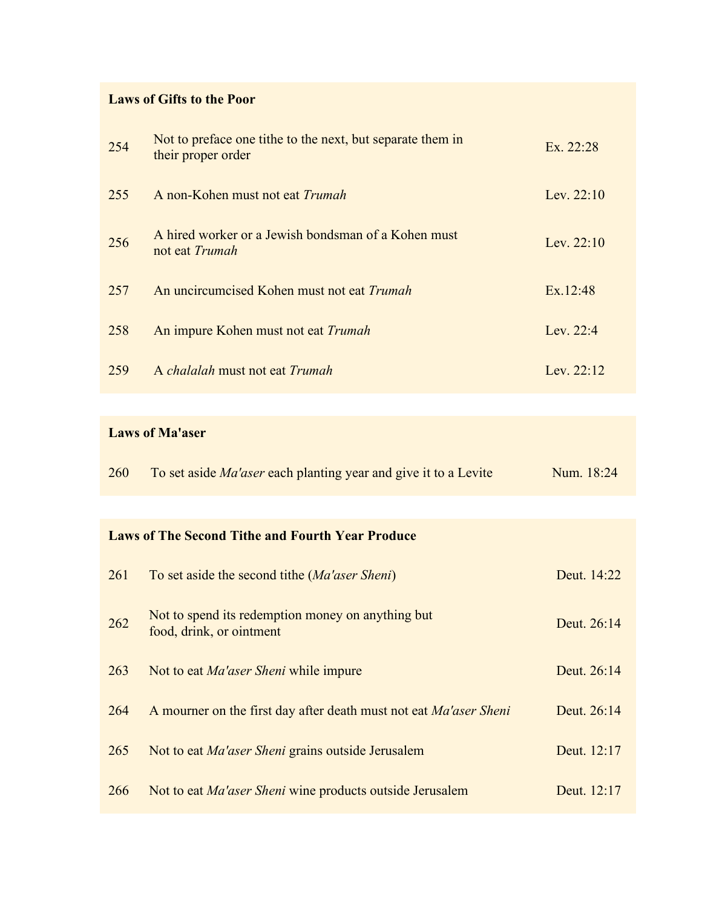#### **Laws of Gifts to the Poor**

| 254 | Not to preface one tithe to the next, but separate them in<br>their proper order | Ex. $22:28$  |
|-----|----------------------------------------------------------------------------------|--------------|
| 255 | A non-Kohen must not eat Trumah                                                  | Lev. $22:10$ |
| 256 | A hired worker or a Jewish bondsman of a Kohen must<br>not eat Trumah            | Lev. $22:10$ |
| 257 | An uncircumcised Kohen must not eat Trumah                                       | Ex.12:48     |
| 258 | An impure Kohen must not eat Trumah                                              | Lev. 22:4    |
| 259 | A <i>chalalah</i> must not eat <i>Trumah</i>                                     | Lev. $22:12$ |

### **Laws of Ma'aser**

|  | 260 To set aside <i>Ma'aser</i> each planting year and give it to a Levite | Num. 18:24 |
|--|----------------------------------------------------------------------------|------------|
|--|----------------------------------------------------------------------------|------------|

### **Laws of The Second Tithe and Fourth Year Produce**

| 261 | To set aside the second tithe (Ma'aser Sheni)                                 | Deut. 14:22 |
|-----|-------------------------------------------------------------------------------|-------------|
| 262 | Not to spend its redemption money on anything but<br>food, drink, or ointment | Deut. 26:14 |
| 263 | Not to eat <i>Ma'aser Sheni</i> while impure                                  | Deut. 26:14 |
| 264 | A mourner on the first day after death must not eat Ma'aser Sheni             | Deut. 26:14 |
| 265 | Not to eat <i>Ma'aser Sheni</i> grains outside Jerusalem                      | Deut. 12:17 |
| 266 | Not to eat <i>Ma'aser Sheni</i> wine products outside Jerusalem               | Deut. 12:17 |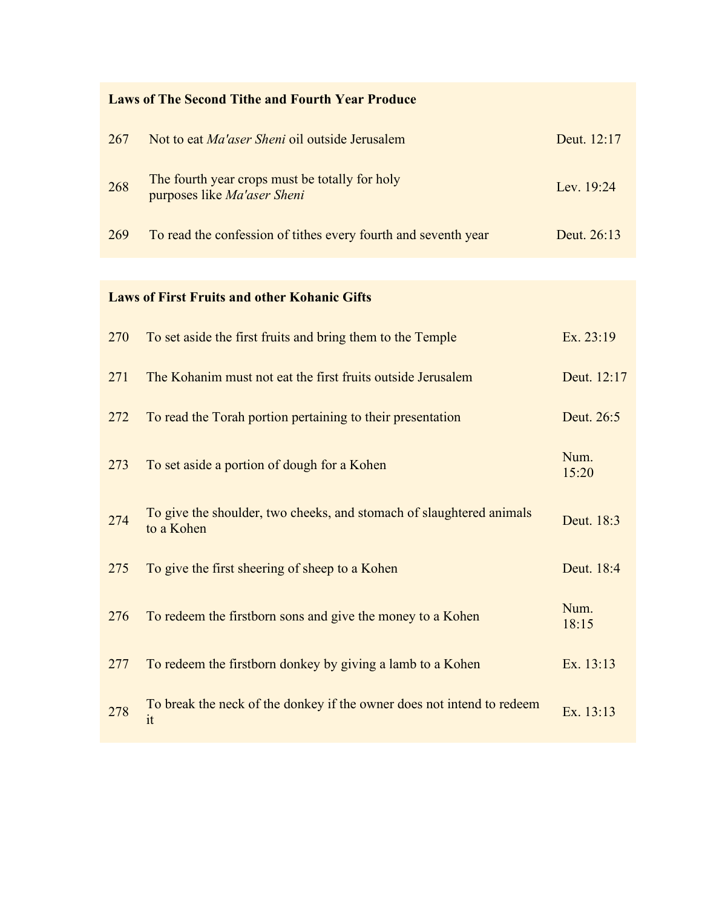| <b>Laws of The Second Tithe and Fourth Year Produce</b> |                                                                                    |               |  |
|---------------------------------------------------------|------------------------------------------------------------------------------------|---------------|--|
| 267                                                     | Not to eat <i>Ma'aser Sheni</i> oil outside Jerusalem                              | Deut. 12:17   |  |
| 268                                                     | The fourth year crops must be totally for holy<br>purposes like Ma'aser Sheni      | Lev. 19:24    |  |
| 269                                                     | To read the confession of tithes every fourth and seventh year                     | Deut. 26:13   |  |
|                                                         |                                                                                    |               |  |
|                                                         | <b>Laws of First Fruits and other Kohanic Gifts</b>                                |               |  |
| 270                                                     | To set aside the first fruits and bring them to the Temple                         | Ex. 23:19     |  |
| 271                                                     | The Kohanim must not eat the first fruits outside Jerusalem                        | Deut. 12:17   |  |
| 272                                                     | To read the Torah portion pertaining to their presentation                         | Deut. 26:5    |  |
| 273                                                     | To set aside a portion of dough for a Kohen                                        | Num.<br>15:20 |  |
| 274                                                     | To give the shoulder, two cheeks, and stomach of slaughtered animals<br>to a Kohen | Deut. 18:3    |  |
| 275                                                     | To give the first sheering of sheep to a Kohen                                     | Deut. 18:4    |  |
| 276                                                     | To redeem the firstborn sons and give the money to a Kohen                         | Num.<br>18:15 |  |
| 277                                                     | To redeem the firstborn donkey by giving a lamb to a Kohen                         | Ex. 13:13     |  |
| 278                                                     | To break the neck of the donkey if the owner does not intend to redeem<br>it       | Ex. 13:13     |  |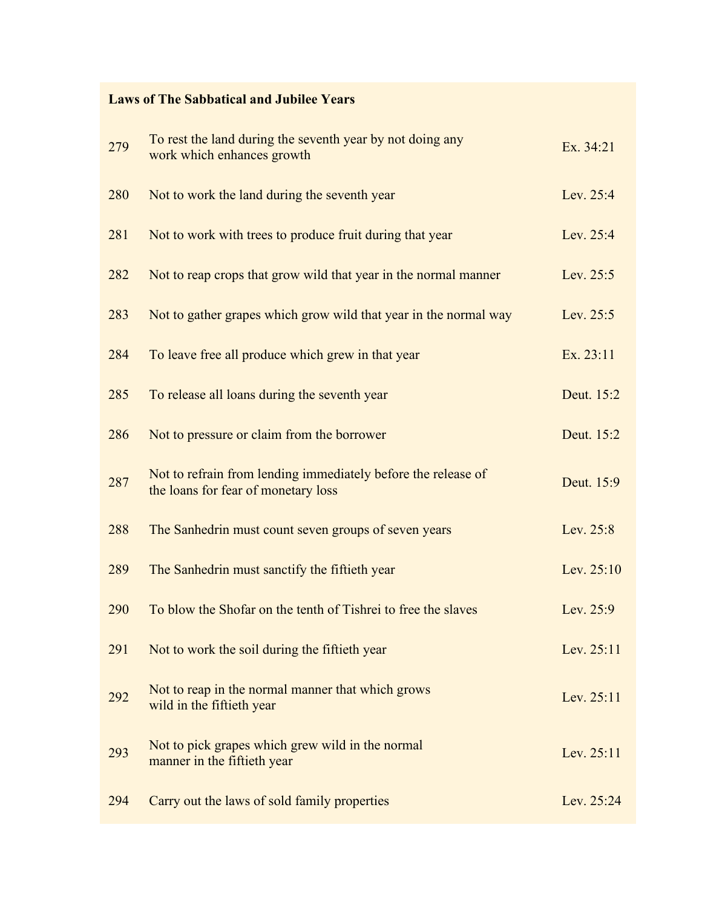#### **Laws of The Sabbatical and Jubilee Years**

| 279 | To rest the land during the seventh year by not doing any<br>work which enhances growth              | Ex. 34:21    |
|-----|------------------------------------------------------------------------------------------------------|--------------|
| 280 | Not to work the land during the seventh year                                                         | Lev. 25:4    |
| 281 | Not to work with trees to produce fruit during that year                                             | Lev. 25:4    |
| 282 | Not to reap crops that grow wild that year in the normal manner                                      | Lev. 25:5    |
| 283 | Not to gather grapes which grow wild that year in the normal way                                     | Lev. 25:5    |
| 284 | To leave free all produce which grew in that year                                                    | Ex. 23:11    |
| 285 | To release all loans during the seventh year                                                         | Deut. 15:2   |
| 286 | Not to pressure or claim from the borrower                                                           | Deut. 15:2   |
| 287 | Not to refrain from lending immediately before the release of<br>the loans for fear of monetary loss | Deut. 15:9   |
| 288 | The Sanhedrin must count seven groups of seven years                                                 | Lev. 25:8    |
| 289 | The Sanhedrin must sanctify the fiftieth year                                                        | Lev. 25:10   |
| 290 | To blow the Shofar on the tenth of Tishrei to free the slaves                                        | Lev. 25:9    |
| 291 | Not to work the soil during the fiftieth year                                                        | Lev. $25:11$ |
| 292 | Not to reap in the normal manner that which grows<br>wild in the fiftieth year                       | Lev. 25:11   |
| 293 | Not to pick grapes which grew wild in the normal<br>manner in the fiftieth year                      | Lev. 25:11   |
| 294 | Carry out the laws of sold family properties                                                         | Lev. 25:24   |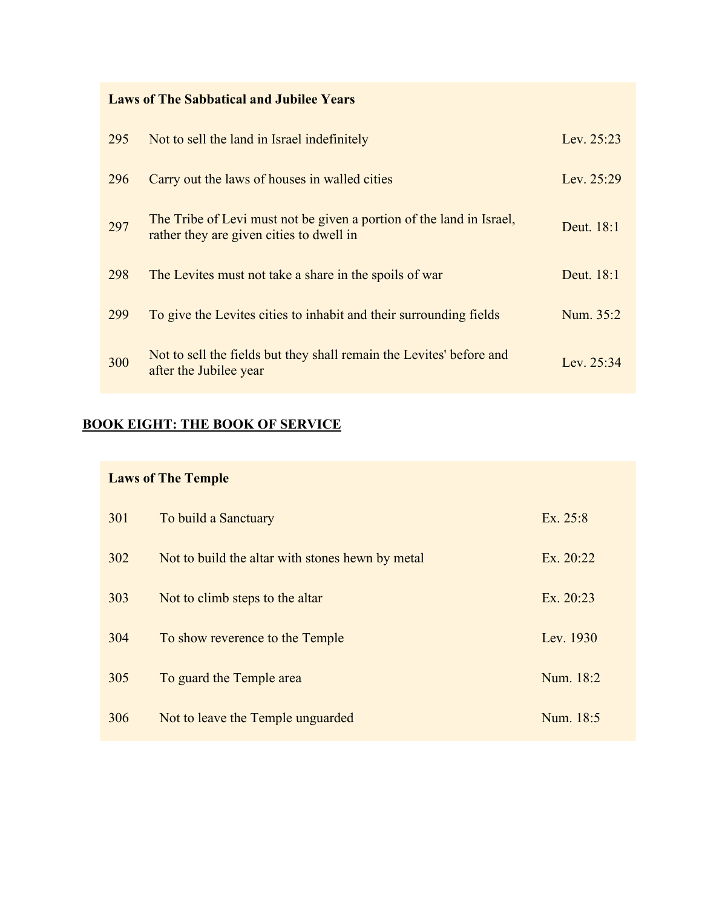**Laws of The Sabbatical and Jubilee Years**

| 295 | Not to sell the land in Israel indefinitely                                                                      | Lev. $25:23$ |
|-----|------------------------------------------------------------------------------------------------------------------|--------------|
| 296 | Carry out the laws of houses in walled cities                                                                    | Lev. 25:29   |
| 297 | The Tribe of Levi must not be given a portion of the land in Israel,<br>rather they are given cities to dwell in | Deut. 18:1   |
| 298 | The Levites must not take a share in the spoils of war                                                           | Deut. 18:1   |
| 299 | To give the Levites cities to inhabit and their surrounding fields                                               | Num. 35:2    |
| 300 | Not to sell the fields but they shall remain the Levites' before and<br>after the Jubilee year                   | Lev. $25:34$ |

# **BOOK EIGHT: THE BOOK OF SERVICE**

| <b>Laws of The Temple</b> |                                                  |             |
|---------------------------|--------------------------------------------------|-------------|
| 301                       | To build a Sanctuary                             | Ex. 25:8    |
| 302                       | Not to build the altar with stones hewn by metal | Ex. $20:22$ |
| 303                       | Not to climb steps to the altar                  | Ex. 20:23   |
| 304                       | To show reverence to the Temple                  | Lev. 1930   |
| 305                       | To guard the Temple area                         | Num. 18:2   |
| 306                       | Not to leave the Temple unguarded                | Num. 18:5   |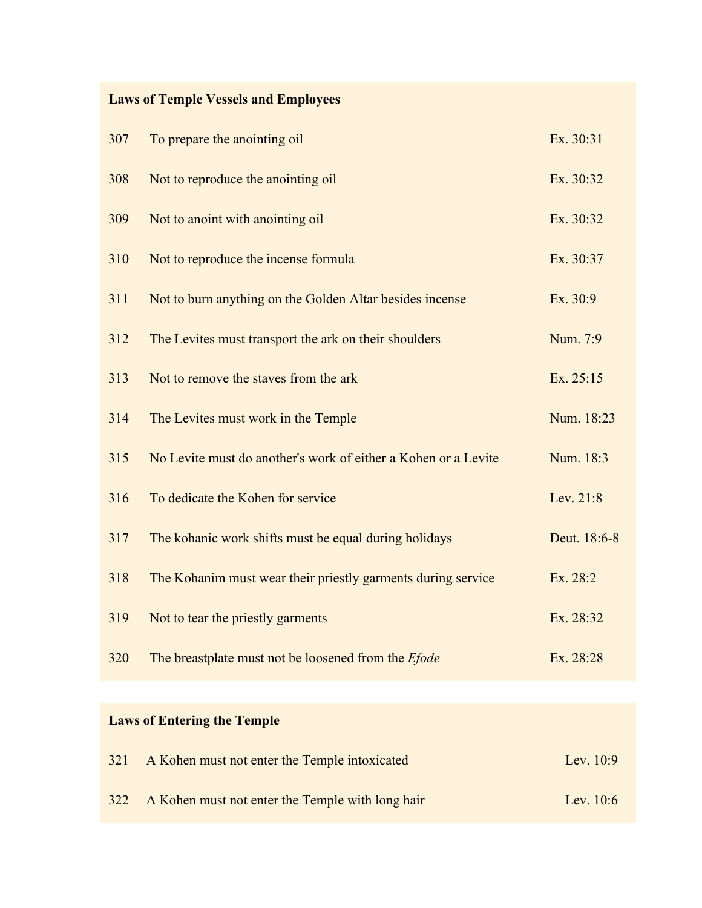# **Laws of Temple Vessels and Employees**

| 307 | To prepare the anointing oil                                   | Ex. 30:31    |
|-----|----------------------------------------------------------------|--------------|
| 308 | Not to reproduce the anointing oil                             | Ex. 30:32    |
| 309 | Not to anoint with anointing oil                               | Ex. 30:32    |
| 310 | Not to reproduce the incense formula                           | Ex. 30:37    |
| 311 | Not to burn anything on the Golden Altar besides incense       | Ex. 30:9     |
| 312 | The Levites must transport the ark on their shoulders          | Num. 7:9     |
| 313 | Not to remove the staves from the ark                          | Ex. 25:15    |
| 314 | The Levites must work in the Temple                            | Num. 18:23   |
| 315 | No Levite must do another's work of either a Kohen or a Levite | Num. 18:3    |
| 316 | To dedicate the Kohen for service                              | Lev. 21:8    |
| 317 | The kohanic work shifts must be equal during holidays          | Deut. 18:6-8 |
| 318 | The Kohanim must wear their priestly garments during service   | Ex. 28:2     |
| 319 | Not to tear the priestly garments                              | Ex. 28:32    |
| 320 | The breastplate must not be loosened from the <i>Efode</i>     | Ex. 28:28    |

# **Laws of Entering the Temple**

| 321 | A Kohen must not enter the Temple intoxicated        | Lev. $10:9$ |
|-----|------------------------------------------------------|-------------|
|     | 322 A Kohen must not enter the Temple with long hair | Lev. $10:6$ |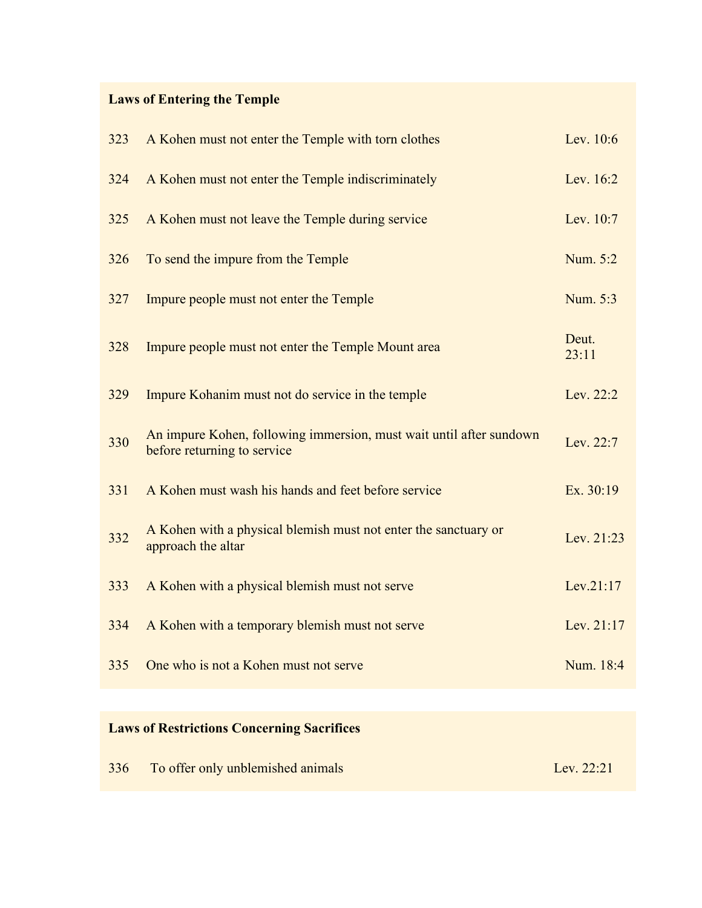# **Laws of Entering the Temple**

| 323 | A Kohen must not enter the Temple with torn clothes                                                | Lev. 10:6      |
|-----|----------------------------------------------------------------------------------------------------|----------------|
| 324 | A Kohen must not enter the Temple indiscriminately                                                 | Lev. 16:2      |
| 325 | A Kohen must not leave the Temple during service                                                   | Lev. 10:7      |
| 326 | To send the impure from the Temple                                                                 | Num. 5:2       |
| 327 | Impure people must not enter the Temple                                                            | Num. 5:3       |
| 328 | Impure people must not enter the Temple Mount area                                                 | Deut.<br>23:11 |
| 329 | Impure Kohanim must not do service in the temple                                                   | Lev. 22:2      |
| 330 | An impure Kohen, following immersion, must wait until after sundown<br>before returning to service | Lev. 22:7      |
| 331 | A Kohen must wash his hands and feet before service                                                | Ex. 30:19      |
| 332 | A Kohen with a physical blemish must not enter the sanctuary or<br>approach the altar              | Lev. 21:23     |
| 333 | A Kohen with a physical blemish must not serve                                                     | Lev.21:17      |
| 334 | A Kohen with a temporary blemish must not serve                                                    | Lev. 21:17     |
| 335 | One who is not a Kohen must not serve                                                              | Num. 18:4      |
|     |                                                                                                    |                |

# **Laws of Restrictions Concerning Sacrifices**

|  | 336 To offer only unblemished animals | Lev. 22:21 |
|--|---------------------------------------|------------|
|--|---------------------------------------|------------|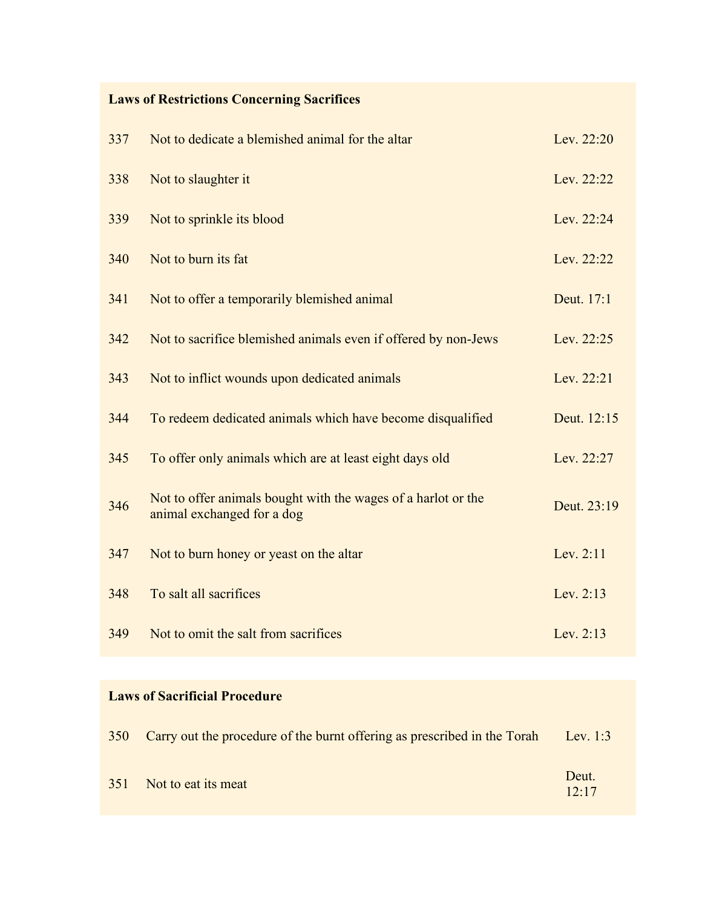# **Laws of Restrictions Concerning Sacrifices**

| 337 | Not to dedicate a blemished animal for the altar                                            | Lev. 22:20  |
|-----|---------------------------------------------------------------------------------------------|-------------|
| 338 | Not to slaughter it                                                                         | Lev. 22:22  |
| 339 | Not to sprinkle its blood                                                                   | Lev. 22:24  |
| 340 | Not to burn its fat                                                                         | Lev. 22:22  |
| 341 | Not to offer a temporarily blemished animal                                                 | Deut. 17:1  |
| 342 | Not to sacrifice blemished animals even if offered by non-Jews                              | Lev. 22:25  |
| 343 | Not to inflict wounds upon dedicated animals                                                | Lev. 22:21  |
| 344 | To redeem dedicated animals which have become disqualified                                  | Deut. 12:15 |
| 345 | To offer only animals which are at least eight days old                                     | Lev. 22:27  |
| 346 | Not to offer animals bought with the wages of a harlot or the<br>animal exchanged for a dog | Deut. 23:19 |
| 347 | Not to burn honey or yeast on the altar                                                     | Lev. 2:11   |
| 348 | To salt all sacrifices                                                                      | Lev. 2:13   |
| 349 | Not to omit the salt from sacrifices                                                        | Lev. $2:13$ |

### **Laws of Sacrificial Procedure**

| 350 Carry out the procedure of the burnt offering as prescribed in the Torah | Lev. 1:3       |
|------------------------------------------------------------------------------|----------------|
| 351 Not to eat its meat                                                      | Deut.<br>12:17 |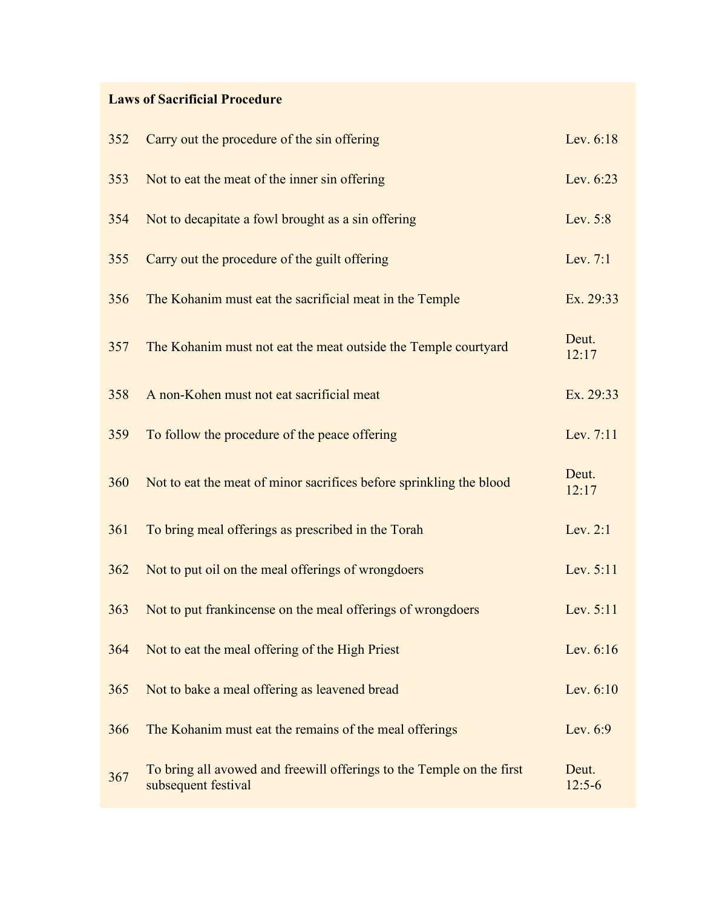### **Laws of Sacrificial Procedure**

| 352 | Carry out the procedure of the sin offering                                                  | Lev. 6:18         |
|-----|----------------------------------------------------------------------------------------------|-------------------|
| 353 | Not to eat the meat of the inner sin offering                                                | Lev. 6:23         |
| 354 | Not to decapitate a fowl brought as a sin offering                                           | Lev. 5:8          |
| 355 | Carry out the procedure of the guilt offering                                                | Lev. 7:1          |
| 356 | The Kohanim must eat the sacrificial meat in the Temple                                      | Ex. 29:33         |
| 357 | The Kohanim must not eat the meat outside the Temple courtyard                               | Deut.<br>12:17    |
| 358 | A non-Kohen must not eat sacrificial meat                                                    | Ex. 29:33         |
| 359 | To follow the procedure of the peace offering                                                | Lev. 7:11         |
| 360 | Not to eat the meat of minor sacrifices before sprinkling the blood                          | Deut.<br>12:17    |
| 361 | To bring meal offerings as prescribed in the Torah                                           | Lev. 2:1          |
| 362 | Not to put oil on the meal offerings of wrongdoers                                           | Lev. 5:11         |
| 363 | Not to put frankincense on the meal offerings of wrongdoers                                  | Lev. 5:11         |
| 364 | Not to eat the meal offering of the High Priest                                              | Lev. 6:16         |
| 365 | Not to bake a meal offering as leavened bread                                                | Lev. 6:10         |
| 366 | The Kohanim must eat the remains of the meal offerings                                       | Lev. 6:9          |
| 367 | To bring all avowed and freewill offerings to the Temple on the first<br>subsequent festival | Deut.<br>$12:5-6$ |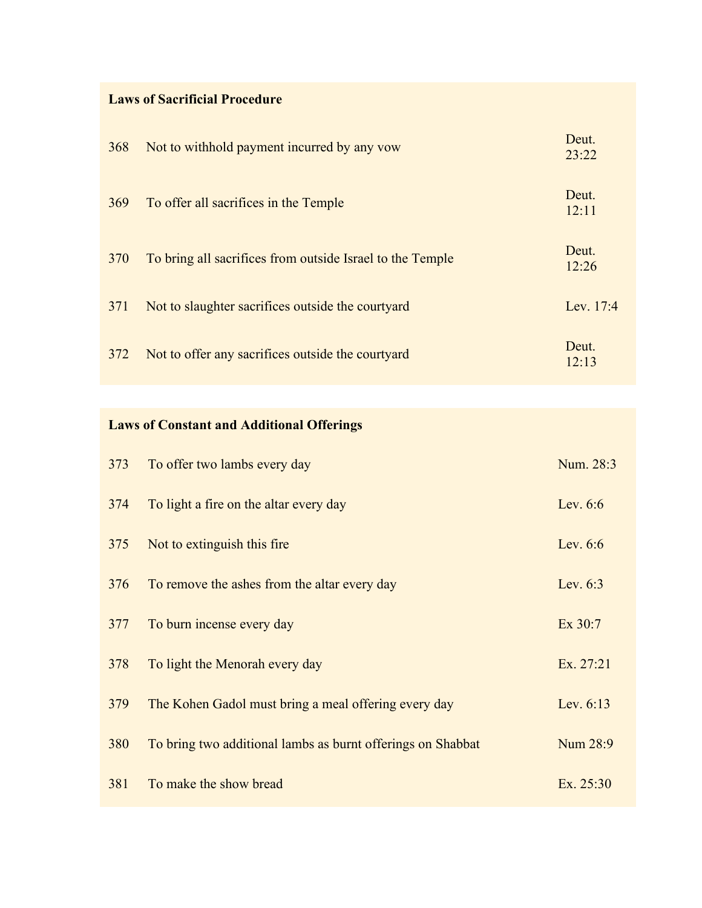# **Laws of Sacrificial Procedure**

| 368 | Not to withhold payment incurred by any vow               | Deut.<br>23:22 |
|-----|-----------------------------------------------------------|----------------|
| 369 | To offer all sacrifices in the Temple                     | Deut.<br>12:11 |
| 370 | To bring all sacrifices from outside Israel to the Temple | Deut.<br>12:26 |
| 371 | Not to slaughter sacrifices outside the courty and        | Lev. 17:4      |
| 372 | Not to offer any sacrifices outside the courty and        | Deut.<br>12:13 |

# **Laws of Constant and Additional Offerings**

| 373 | To offer two lambs every day                                | Num. 28:3  |
|-----|-------------------------------------------------------------|------------|
| 374 | To light a fire on the altar every day                      | Lev. $6:6$ |
| 375 | Not to extinguish this fire                                 | Lev. $6:6$ |
| 376 | To remove the ashes from the altar every day                | Lev. $6:3$ |
| 377 | To burn incense every day                                   | Ex 30:7    |
| 378 | To light the Menorah every day                              | Ex. 27:21  |
| 379 | The Kohen Gadol must bring a meal offering every day        | Lev. 6:13  |
| 380 | To bring two additional lambs as burnt offerings on Shabbat | Num 28:9   |
| 381 | To make the show bread                                      | Ex. 25:30  |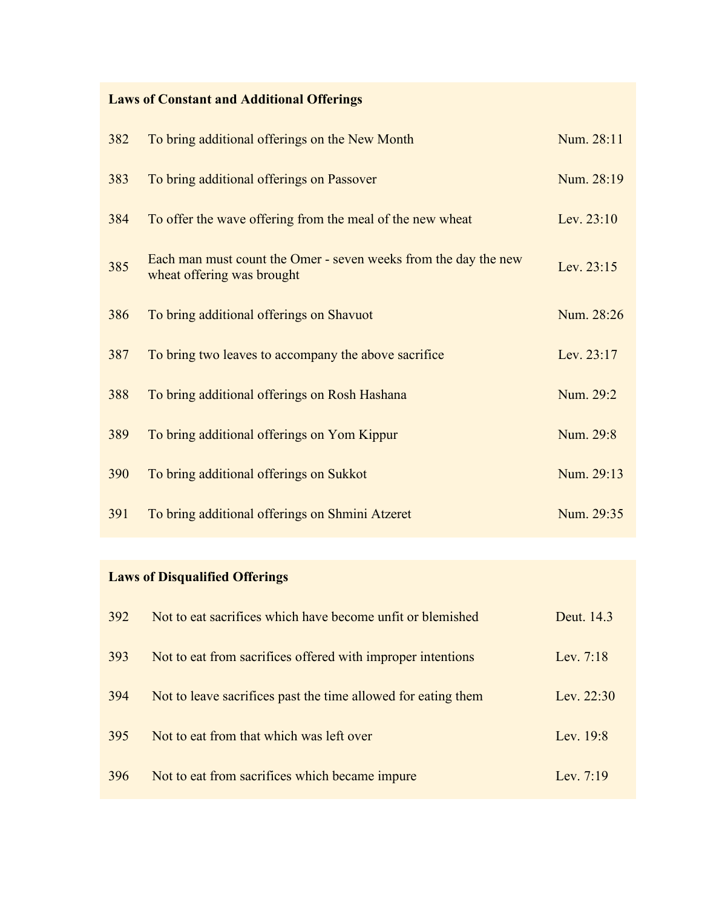# **Laws of Constant and Additional Offerings**

| 382 | To bring additional offerings on the New Month                                                | Num. 28:11 |
|-----|-----------------------------------------------------------------------------------------------|------------|
| 383 | To bring additional offerings on Passover                                                     | Num. 28:19 |
| 384 | To offer the wave offering from the meal of the new wheat                                     | Lev. 23:10 |
| 385 | Each man must count the Omer - seven weeks from the day the new<br>wheat offering was brought | Lev. 23:15 |
| 386 | To bring additional offerings on Shavuot                                                      | Num. 28:26 |
| 387 | To bring two leaves to accompany the above sacrifice                                          | Lev. 23:17 |
| 388 | To bring additional offerings on Rosh Hashana                                                 | Num. 29:2  |
| 389 | To bring additional offerings on Yom Kippur                                                   | Num. 29:8  |
| 390 | To bring additional offerings on Sukkot                                                       | Num. 29:13 |
| 391 | To bring additional offerings on Shmini Atzeret                                               | Num. 29:35 |

# **Laws of Disqualified Offerings**

| 392 | Not to eat sacrifices which have become unfit or blemished    | Deut. 14.3   |
|-----|---------------------------------------------------------------|--------------|
| 393 | Not to eat from sacrifices offered with improper intentions   | Lev. 7:18    |
| 394 | Not to leave sacrifices past the time allowed for eating them | Lev. $22:30$ |
| 395 | Not to eat from that which was left over                      | Lev. $19:8$  |
| 396 | Not to eat from sacrifices which became impure                | Lev. $7:19$  |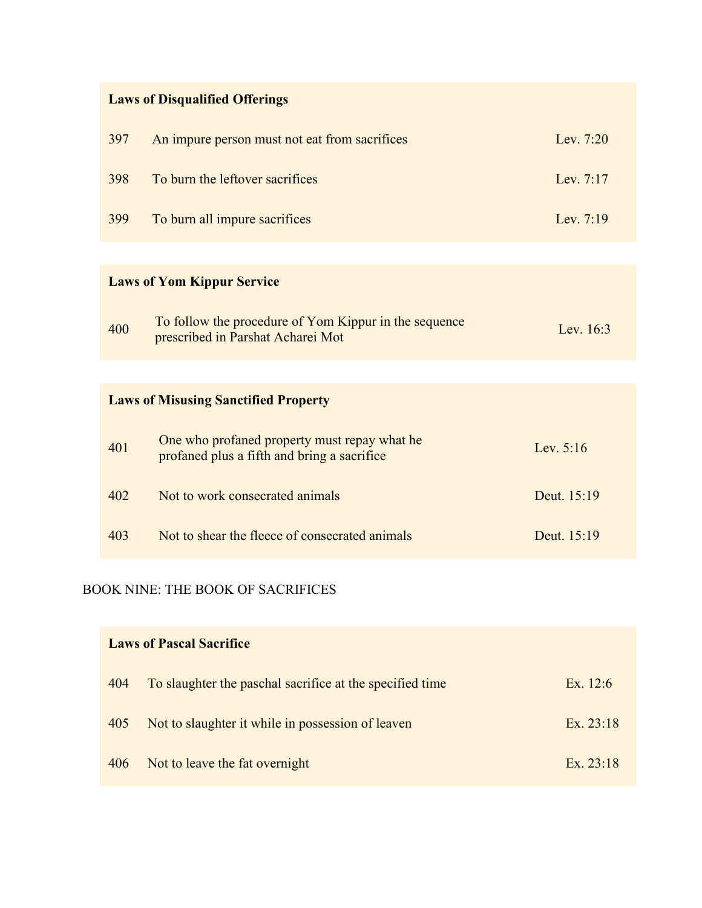# **Laws of Disqualified Offerings**

| 397 | An impure person must not eat from sacrifices | Lev. $7:20$ |
|-----|-----------------------------------------------|-------------|
| 398 | To burn the leftover sacrifices               | Lev. $7:17$ |
| 399 | To burn all impure sacrifices                 | Lev. $7:19$ |

# **Laws of Yom Kippur Service**

| 400 | To follow the procedure of Yom Kippur in the sequence<br>prescribed in Parshat Acharei Mot | Lev. $16:3$ |
|-----|--------------------------------------------------------------------------------------------|-------------|
|-----|--------------------------------------------------------------------------------------------|-------------|

# **Laws of Misusing Sanctified Property**

| 401 | One who profaned property must repay what he<br>profaned plus a fifth and bring a sacrifice | Lev. $5:16$ |
|-----|---------------------------------------------------------------------------------------------|-------------|
| 402 | Not to work consecrated animals                                                             | Deut. 15:19 |
| 403 | Not to shear the fleece of consecrated animals                                              | Deut. 15:19 |

### BOOK NINE: THE BOOK OF SACRIFICES

| <b>Laws of Pascal Sacrifice</b> |                                                          |            |
|---------------------------------|----------------------------------------------------------|------------|
| 404                             | To slaughter the paschal sacrifice at the specified time | Ex. $12:6$ |
| 405                             | Not to slaughter it while in possession of leaven        | Ex. 23:18  |
| 406                             | Not to leave the fat overnight                           | Ex. 23:18  |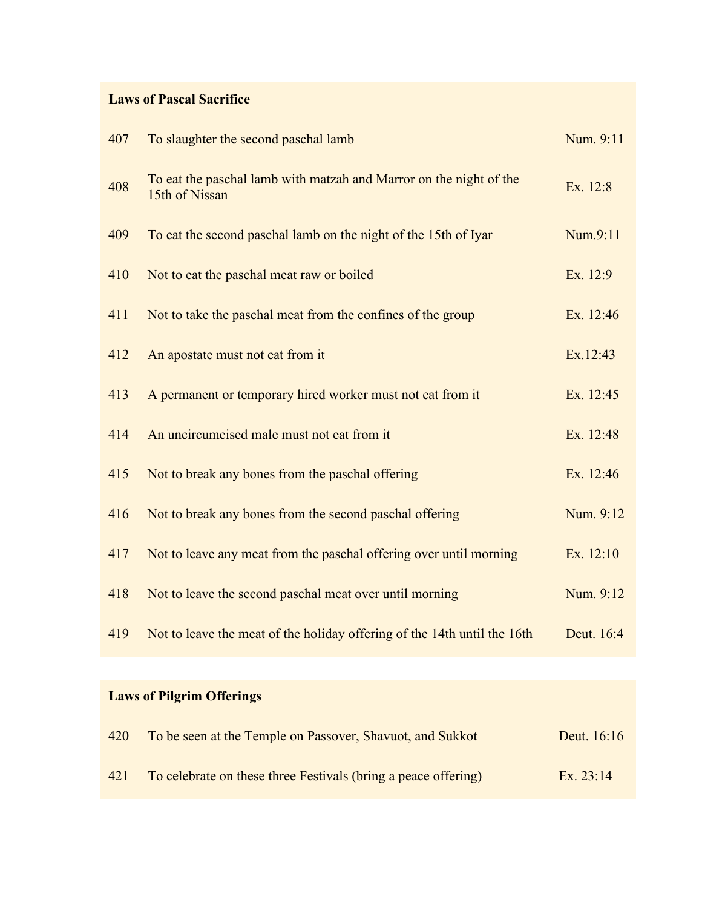### **Laws of Pascal Sacrifice**

| 407 | To slaughter the second paschal lamb                                                 | Num. 9:11  |
|-----|--------------------------------------------------------------------------------------|------------|
| 408 | To eat the paschal lamb with matzah and Marror on the night of the<br>15th of Nissan | Ex. 12:8   |
| 409 | To eat the second paschal lamb on the night of the 15th of Iyar                      | Num.9:11   |
| 410 | Not to eat the paschal meat raw or boiled                                            | Ex. 12:9   |
| 411 | Not to take the paschal meat from the confines of the group                          | Ex. 12:46  |
| 412 | An apostate must not eat from it                                                     | Ex.12:43   |
| 413 | A permanent or temporary hired worker must not eat from it                           | Ex. 12:45  |
| 414 | An uncircumcised male must not eat from it                                           | Ex. 12:48  |
| 415 | Not to break any bones from the paschal offering                                     | Ex. 12:46  |
| 416 | Not to break any bones from the second paschal offering                              | Num. 9:12  |
| 417 | Not to leave any meat from the paschal offering over until morning                   | Ex. 12:10  |
| 418 | Not to leave the second paschal meat over until morning                              | Num. 9:12  |
| 419 | Not to leave the meat of the holiday offering of the 14th until the 16th             | Deut. 16:4 |

# **Laws of Pilgrim Offerings**

| 420 | To be seen at the Temple on Passover, Shavuot, and Sukkot      | Deut. 16:16 |
|-----|----------------------------------------------------------------|-------------|
| 421 | To celebrate on these three Festivals (bring a peace offering) | Ex. $23:14$ |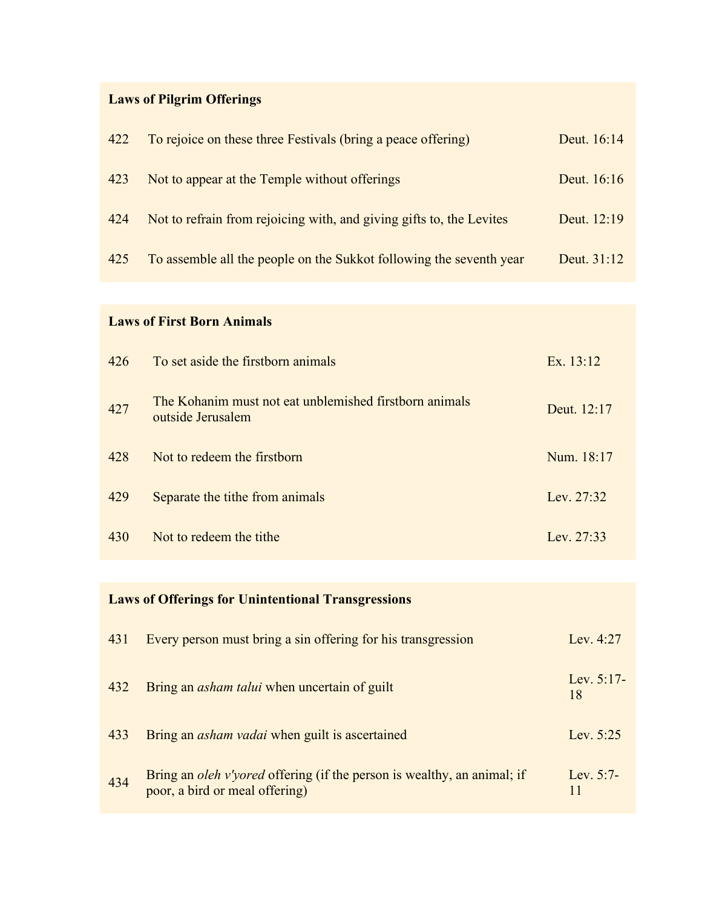# **Laws of Pilgrim Offerings**

| 422 | To rejoice on these three Festivals (bring a peace offering)         | Deut. 16:14 |
|-----|----------------------------------------------------------------------|-------------|
| 423 | Not to appear at the Temple without offerings                        | Deut. 16:16 |
| 424 | Not to refrain from rejoicing with, and giving gifts to, the Levites | Deut. 12:19 |
| 425 | To assemble all the people on the Sukkot following the seventh year  | Deut. 31:12 |

# **Laws of First Born Animals**

| 426 | To set aside the firstborn animals                                          | Ex. 13:12    |
|-----|-----------------------------------------------------------------------------|--------------|
| 427 | The Kohanim must not eat unblemished firstborn animals<br>outside Jerusalem | Deut. 12:17  |
| 428 | Not to redeem the firstborn                                                 | Num. 18:17   |
| 429 | Separate the tithe from animals                                             | Lev. 27:32   |
| 430 | Not to redeem the tithe                                                     | Lev. $27:33$ |

# **Laws of Offerings for Unintentional Transgressions**

| 431 | Every person must bring a sin offering for his transgression                                              | Lev. 4:27          |
|-----|-----------------------------------------------------------------------------------------------------------|--------------------|
| 432 | Bring an <i>asham talui</i> when uncertain of guilt                                                       | Lev. $5:17-$<br>18 |
| 433 | Bring an <i>asham vadai</i> when guilt is ascertained                                                     | Lev. $5:25$        |
| 434 | Bring an oleh v'yored offering (if the person is wealthy, an animal; if<br>poor, a bird or meal offering) | Lev. $5:7-$<br>11  |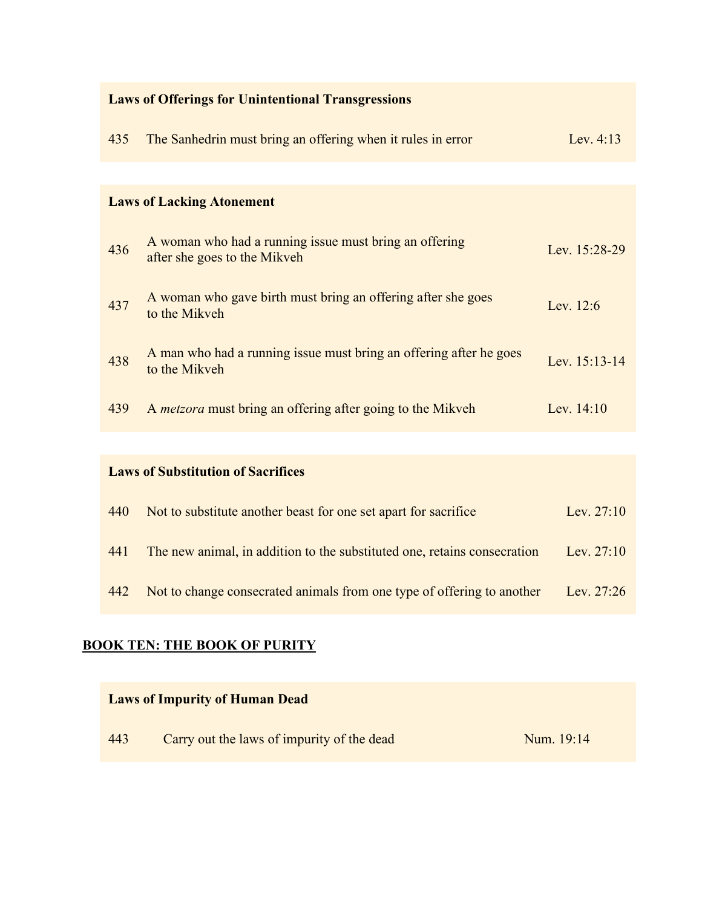| <b>Laws of Offerings for Unintentional Transgressions</b> |                                                                                        |               |
|-----------------------------------------------------------|----------------------------------------------------------------------------------------|---------------|
| 435                                                       | The Sanhedrin must bring an offering when it rules in error                            | Lev. $4:13$   |
|                                                           |                                                                                        |               |
|                                                           | <b>Laws of Lacking Atonement</b>                                                       |               |
| 436                                                       | A woman who had a running issue must bring an offering<br>after she goes to the Mikveh | Lev. 15:28-29 |
| 437                                                       | A woman who gave birth must bring an offering after she goes<br>to the Mikveh          | Lev. 12:6     |
| 438                                                       | A man who had a running issue must bring an offering after he goes<br>to the Mikveh    | Lev. 15:13-14 |
| 439                                                       | A <i>metzora</i> must bring an offering after going to the Mikveh                      | Lev. $14:10$  |
|                                                           |                                                                                        |               |
|                                                           | <b>Laws of Substitution of Sacrifices</b>                                              |               |
| 440                                                       | Not to substitute another beast for one set apart for sacrifice                        | Lev. 27:10    |
| 441                                                       | The new animal, in addition to the substituted one, retains consecration               | Lev. 27:10    |

442 Not to change consecrated animals from one type of offering to another Lev. 27:26

# **BOOK TEN: THE BOOK OF PURITY**

|     | <b>Laws of Impurity of Human Dead</b>      |            |
|-----|--------------------------------------------|------------|
| 443 | Carry out the laws of impurity of the dead | Num. 19:14 |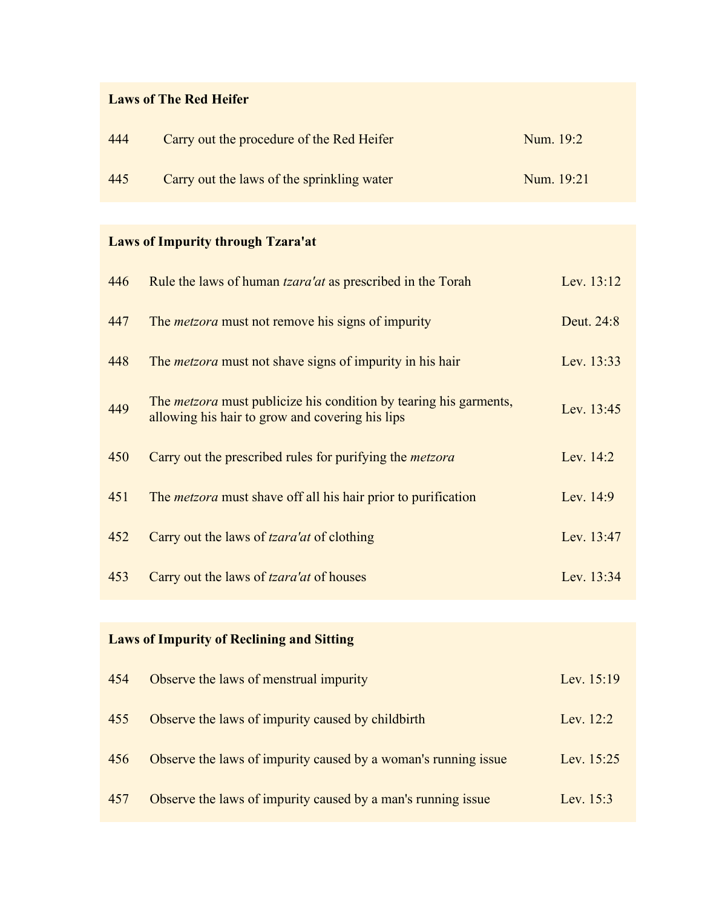### **Laws of The Red Heifer**

| 444 | Carry out the procedure of the Red Heifer  | Num. 19:2  |
|-----|--------------------------------------------|------------|
| 445 | Carry out the laws of the sprinkling water | Num. 19:21 |

# **Laws of Impurity through Tzara'at**

| 446 | Rule the laws of human <i>tzara'at</i> as prescribed in the Torah                                                           | Lev. 13:12  |
|-----|-----------------------------------------------------------------------------------------------------------------------------|-------------|
| 447 | The <i>metzora</i> must not remove his signs of impurity                                                                    | Deut. 24:8  |
| 448 | The <i>metzora</i> must not shave signs of impurity in his hair                                                             | Lev. 13:33  |
| 449 | The <i>metzora</i> must publicize his condition by tearing his garments,<br>allowing his hair to grow and covering his lips | Lev. 13:45  |
| 450 | Carry out the prescribed rules for purifying the <i>metzora</i>                                                             | Lev. 14:2   |
| 451 | The <i>metzora</i> must shave off all his hair prior to purification                                                        | Lev. $14:9$ |
| 452 | Carry out the laws of <i>tzara'at</i> of clothing                                                                           | Lev. 13:47  |
| 453 | Carry out the laws of <i>tzara'at</i> of houses                                                                             | Lev. 13:34  |
|     |                                                                                                                             |             |

# **Laws of Impurity of Reclining and Sitting**

| 454 | Observe the laws of menstrual impurity                         | Lev. $15:19$ |
|-----|----------------------------------------------------------------|--------------|
| 455 | Observe the laws of impurity caused by childbirth              | Lev. $12:2$  |
| 456 | Observe the laws of impurity caused by a woman's running issue | Lev. 15:25   |
| 457 | Observe the laws of impurity caused by a man's running issue   | Lev. $15:3$  |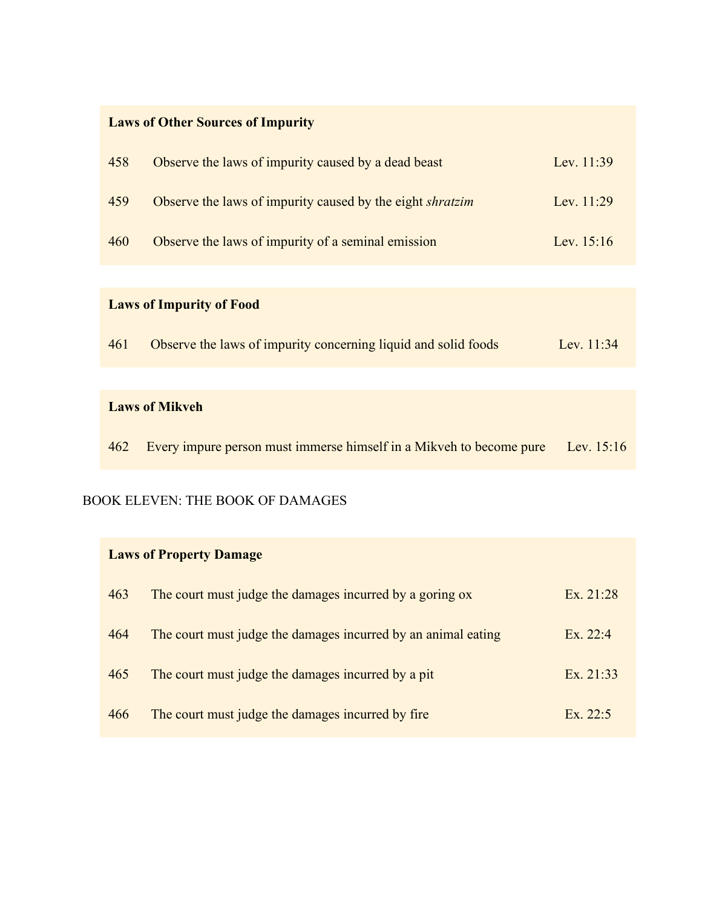# **Laws of Other Sources of Impurity**

| 458 | Observe the laws of impurity caused by a dead beast              | Lev. $11:39$ |
|-----|------------------------------------------------------------------|--------------|
| 459 | Observe the laws of impurity caused by the eight <i>shratzim</i> | Lev. $11:29$ |
| 460 | Observe the laws of impurity of a seminal emission               | Lev. $15:16$ |

# **Laws of Impurity of Food**

| 461 | Observe the laws of impurity concerning liquid and solid foods |  |  |  | Lev. $11:34$ |
|-----|----------------------------------------------------------------|--|--|--|--------------|
|     |                                                                |  |  |  |              |

#### **Laws of Mikveh**

|  |  |  | 462 Every impure person must immerse himself in a Mikveh to become pure Lev. 15:16 |  |
|--|--|--|------------------------------------------------------------------------------------|--|
|  |  |  |                                                                                    |  |

#### BOOK ELEVEN: THE BOOK OF DAMAGES

| <b>Laws of Property Damage</b> |                                                               |             |  |
|--------------------------------|---------------------------------------------------------------|-------------|--|
| 463                            | The court must judge the damages incurred by a goring ox      | Ex. $21:28$ |  |
| 464                            | The court must judge the damages incurred by an animal eating | Ex. 22:4    |  |
| 465                            | The court must judge the damages incurred by a pit            | Ex. 21:33   |  |
| 466                            | The court must judge the damages incurred by fire             | Ex. 22:5    |  |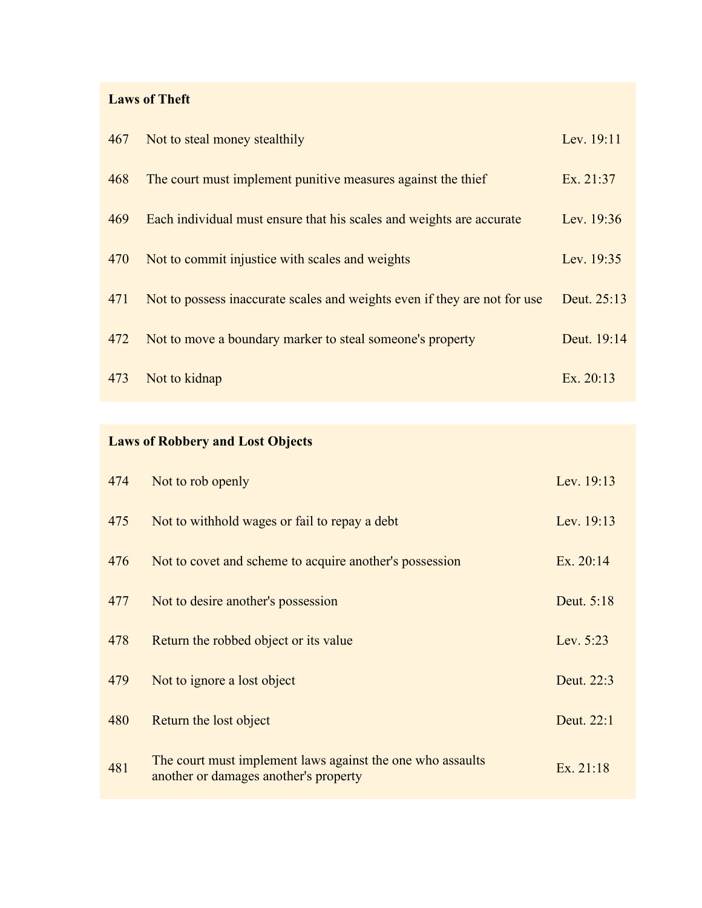### **Laws of Theft**

| 467 | Not to steal money stealthily                                             | Lev. 19:11  |
|-----|---------------------------------------------------------------------------|-------------|
| 468 | The court must implement punitive measures against the thief              | Ex. 21:37   |
| 469 | Each individual must ensure that his scales and weights are accurate      | Lev. 19:36  |
| 470 | Not to commit injustice with scales and weights                           | Lev. 19:35  |
| 471 | Not to possess inaccurate scales and weights even if they are not for use | Deut. 25:13 |
| 472 | Not to move a boundary marker to steal someone's property                 | Deut. 19:14 |
| 473 | Not to kidnap                                                             | Ex. $20:13$ |

# **Laws of Robbery and Lost Objects**

| 474 | Not to rob openly                                                                                   | Lev. 19:13  |
|-----|-----------------------------------------------------------------------------------------------------|-------------|
| 475 | Not to withhold wages or fail to repay a debt                                                       | Lev. 19:13  |
| 476 | Not to covet and scheme to acquire another's possession                                             | Ex. $20:14$ |
| 477 | Not to desire another's possession                                                                  | Deut. 5:18  |
| 478 | Return the robbed object or its value                                                               | Lev. $5:23$ |
| 479 | Not to ignore a lost object                                                                         | Deut. 22:3  |
| 480 | Return the lost object                                                                              | Deut. 22:1  |
| 481 | The court must implement laws against the one who assaults<br>another or damages another's property | Ex. 21:18   |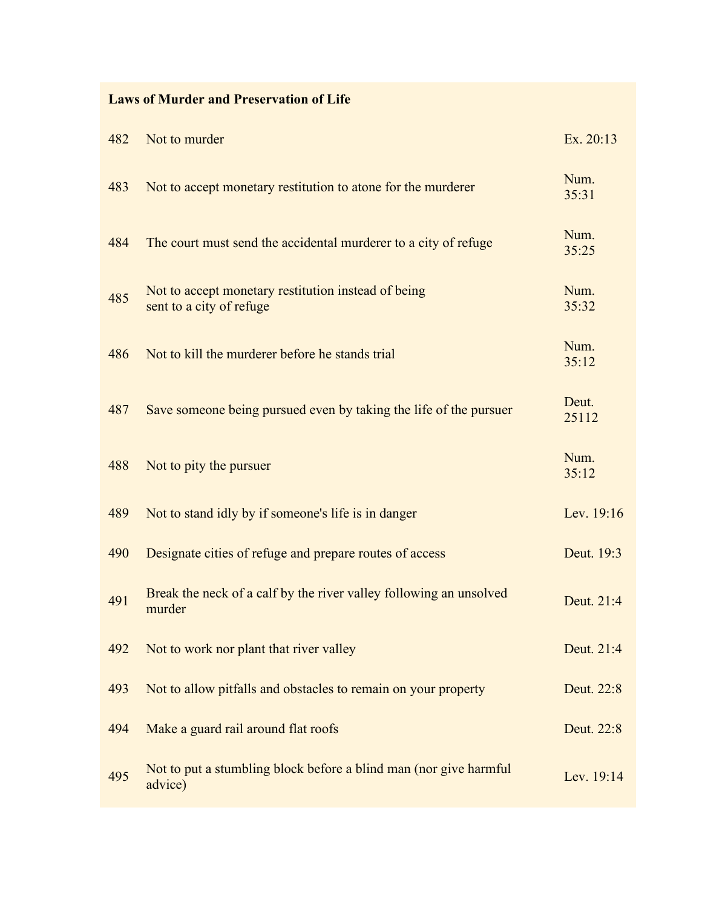### **Laws of Murder and Preservation of Life**

| 482 | Not to murder                                                                   | Ex. 20:13      |
|-----|---------------------------------------------------------------------------------|----------------|
| 483 | Not to accept monetary restitution to atone for the murderer                    | Num.<br>35:31  |
| 484 | The court must send the accidental murderer to a city of refuge                 | Num.<br>35:25  |
| 485 | Not to accept monetary restitution instead of being<br>sent to a city of refuge | Num.<br>35:32  |
| 486 | Not to kill the murderer before he stands trial                                 | Num.<br>35:12  |
| 487 | Save someone being pursued even by taking the life of the pursuer               | Deut.<br>25112 |
| 488 | Not to pity the pursuer                                                         | Num.<br>35:12  |
| 489 | Not to stand idly by if someone's life is in danger                             | Lev. 19:16     |
| 490 | Designate cities of refuge and prepare routes of access                         | Deut. 19:3     |
| 491 | Break the neck of a calf by the river valley following an unsolved<br>murder    | Deut. 21:4     |
| 492 | Not to work nor plant that river valley                                         | Deut. 21:4     |
| 493 | Not to allow pitfalls and obstacles to remain on your property                  | Deut. 22:8     |
| 494 | Make a guard rail around flat roofs                                             | Deut. 22:8     |
| 495 | Not to put a stumbling block before a blind man (nor give harmful<br>advice)    | Lev. 19:14     |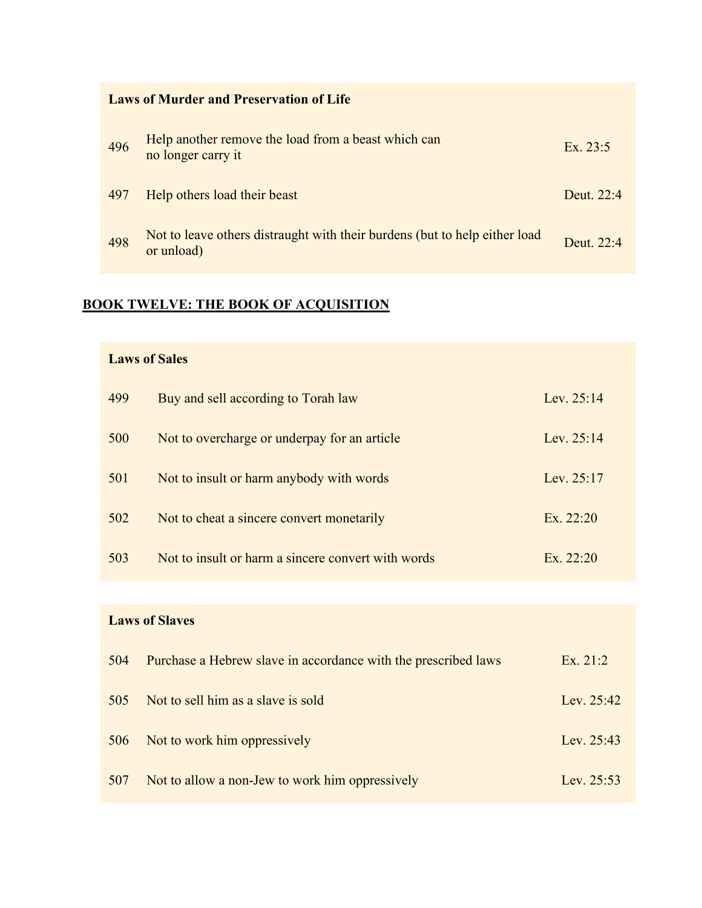| <b>Laws of Murder and Preservation of Life</b> |                                                                                          |              |  |
|------------------------------------------------|------------------------------------------------------------------------------------------|--------------|--|
| 496                                            | Help another remove the load from a beast which can<br>no longer carry it                | Ex. $23:5$   |  |
| 497                                            | Help others load their beast                                                             | Deut. $22:4$ |  |
| 498                                            | Not to leave others distraught with their burdens (but to help either load<br>or unload) | Deut. $22.4$ |  |

# **BOOK TWELVE: THE BOOK OF ACQUISITION**

### **Laws of Sales**

| 499 | Buy and sell according to Torah law                | Lev. $25:14$ |
|-----|----------------------------------------------------|--------------|
| 500 | Not to overcharge or underpay for an article       | Lev. $25:14$ |
| 501 | Not to insult or harm anybody with words           | Lev. $25:17$ |
| 502 | Not to cheat a sincere convert monetarily          | Ex. $22:20$  |
| 503 | Not to insult or harm a sincere convert with words | Ex. 22:20    |

### **Laws of Slaves**

| 504 | Purchase a Hebrew slave in accordance with the prescribed laws | Ex. 21:2     |
|-----|----------------------------------------------------------------|--------------|
| 505 | Not to sell him as a slave is sold                             | Lev. $25:42$ |
| 506 | Not to work him oppressively                                   | Lev. $25:43$ |
| 507 | Not to allow a non-Jew to work him oppressively                | Lev. $25:53$ |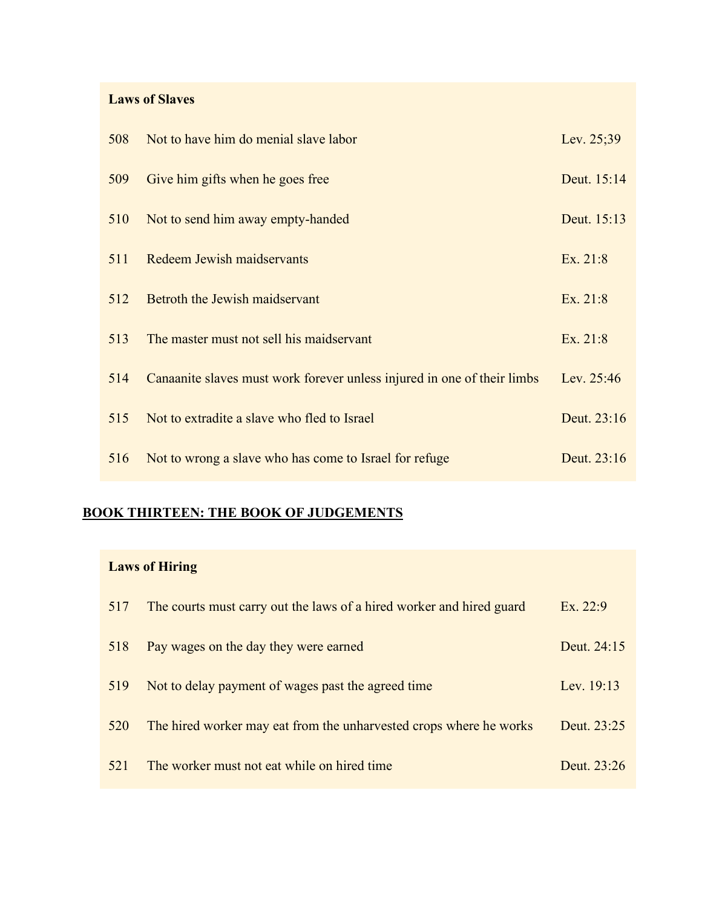### **Laws of Slaves**

| 508 | Not to have him do menial slave labor                                   | Lev. 25;39  |
|-----|-------------------------------------------------------------------------|-------------|
| 509 | Give him gifts when he goes free                                        | Deut. 15:14 |
| 510 | Not to send him away empty-handed                                       | Deut. 15:13 |
| 511 | Redeem Jewish maidservants                                              | Ex. 21:8    |
| 512 | Betroth the Jewish maidservant                                          | Ex. 21:8    |
| 513 | The master must not sell his maidservant                                | Ex. 21:8    |
| 514 | Canaanite slaves must work forever unless injured in one of their limbs | Lev. 25:46  |
| 515 | Not to extradite a slave who fled to Israel                             | Deut. 23:16 |
| 516 | Not to wrong a slave who has come to Israel for refuge                  | Deut. 23:16 |

# **BOOK THIRTEEN: THE BOOK OF JUDGEMENTS**

# **Laws of Hiring**

| 517 | The courts must carry out the laws of a hired worker and hired guard | Ex. 22:9    |
|-----|----------------------------------------------------------------------|-------------|
| 518 | Pay wages on the day they were earned                                | Deut. 24:15 |
| 519 | Not to delay payment of wages past the agreed time                   | Lev. 19:13  |
| 520 | The hired worker may eat from the unharvested crops where he works   | Deut. 23:25 |
| 521 | The worker must not eat while on hired time                          | Deut. 23:26 |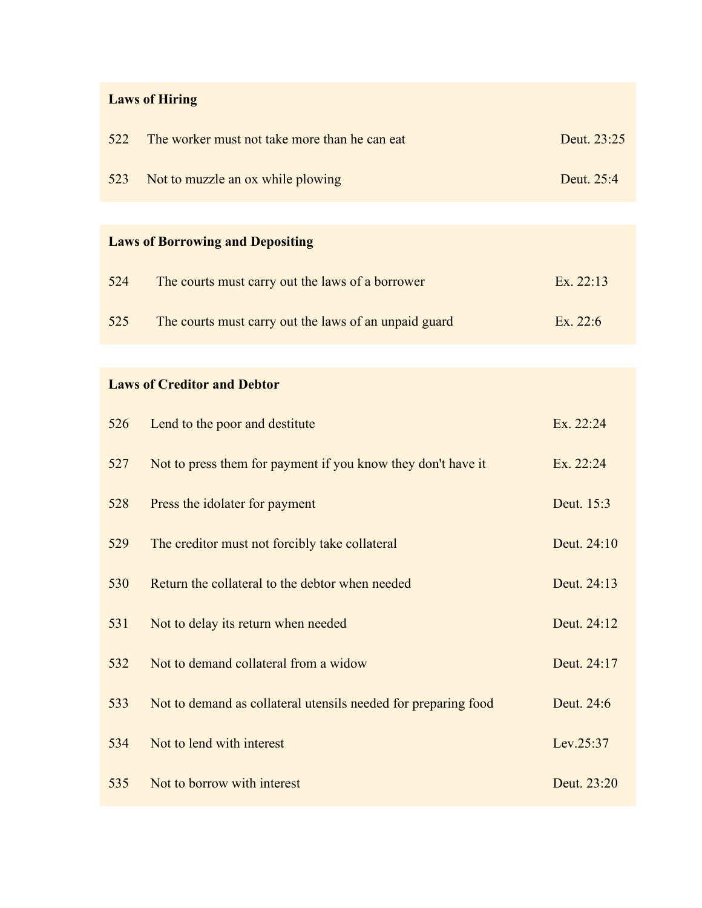# **Laws of Hiring**

| 522                                     | The worker must not take more than he can eat | Deut. 23:25 |  |  |
|-----------------------------------------|-----------------------------------------------|-------------|--|--|
| 523                                     | Not to muzzle an ox while plowing             | Deut. 25:4  |  |  |
|                                         |                                               |             |  |  |
| <b>Laws of Borrowing and Depositing</b> |                                               |             |  |  |

| 525 | The courts must carry out the laws of an unpaid guard | Ex. 22:6 |
|-----|-------------------------------------------------------|----------|

524 The courts must carry out the laws of a borrower Ex. 22:13

### **Laws of Creditor and Debtor**

| 526 | Lend to the poor and destitute                                 | Ex. 22:24   |
|-----|----------------------------------------------------------------|-------------|
| 527 | Not to press them for payment if you know they don't have it   | Ex. 22:24   |
| 528 | Press the idolater for payment                                 | Deut. 15:3  |
| 529 | The creditor must not forcibly take collateral                 | Deut. 24:10 |
| 530 | Return the collateral to the debtor when needed                | Deut. 24:13 |
| 531 | Not to delay its return when needed                            | Deut. 24:12 |
| 532 | Not to demand collateral from a widow                          | Deut. 24:17 |
| 533 | Not to demand as collateral utensils needed for preparing food | Deut. 24:6  |
| 534 | Not to lend with interest                                      | Lev.25:37   |
| 535 | Not to borrow with interest                                    | Deut. 23:20 |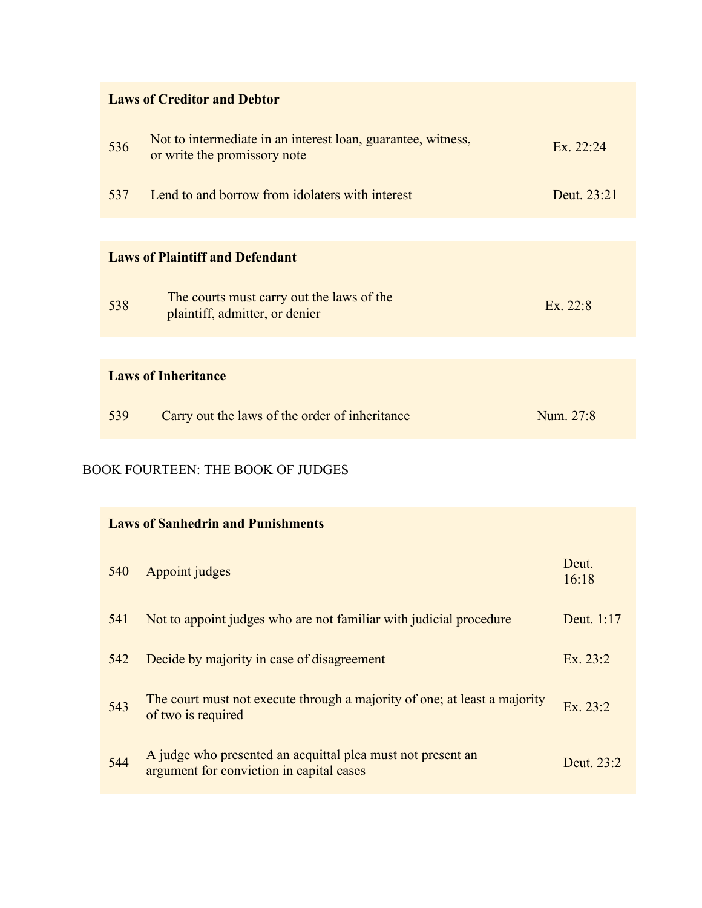| <b>Laws of Creditor and Debtor</b>     |                                                                                              |             |  |
|----------------------------------------|----------------------------------------------------------------------------------------------|-------------|--|
| 536                                    | Not to intermediate in an interest loan, guarantee, witness,<br>or write the promissory note | Ex. 22:24   |  |
| 537                                    | Lend to and borrow from idolaters with interest                                              | Deut. 23:21 |  |
|                                        |                                                                                              |             |  |
| <b>Laws of Plaintiff and Defendant</b> |                                                                                              |             |  |
| 538                                    | The courts must carry out the laws of the<br>plaintiff, admitter, or denier                  | Ex. 22:8    |  |
|                                        |                                                                                              |             |  |
| <b>Laws of Inheritance</b>             |                                                                                              |             |  |
| 539                                    | Carry out the laws of the order of inheritance                                               | Num. 27:8   |  |

### BOOK FOURTEEN: THE BOOK OF JUDGES

| <b>Laws of Sanhedrin and Punishments</b> |                                                                                                         |                |  |
|------------------------------------------|---------------------------------------------------------------------------------------------------------|----------------|--|
| 540                                      | Appoint judges                                                                                          | Deut.<br>16:18 |  |
| 541                                      | Not to appoint judges who are not familiar with judicial procedure                                      | Deut. 1:17     |  |
| 542                                      | Decide by majority in case of disagreement                                                              | Ex. 23:2       |  |
| 543                                      | The court must not execute through a majority of one; at least a majority<br>of two is required         | Ex. 23:2       |  |
| 544                                      | A judge who presented an acquittal plea must not present an<br>argument for conviction in capital cases | Deut. 23:2     |  |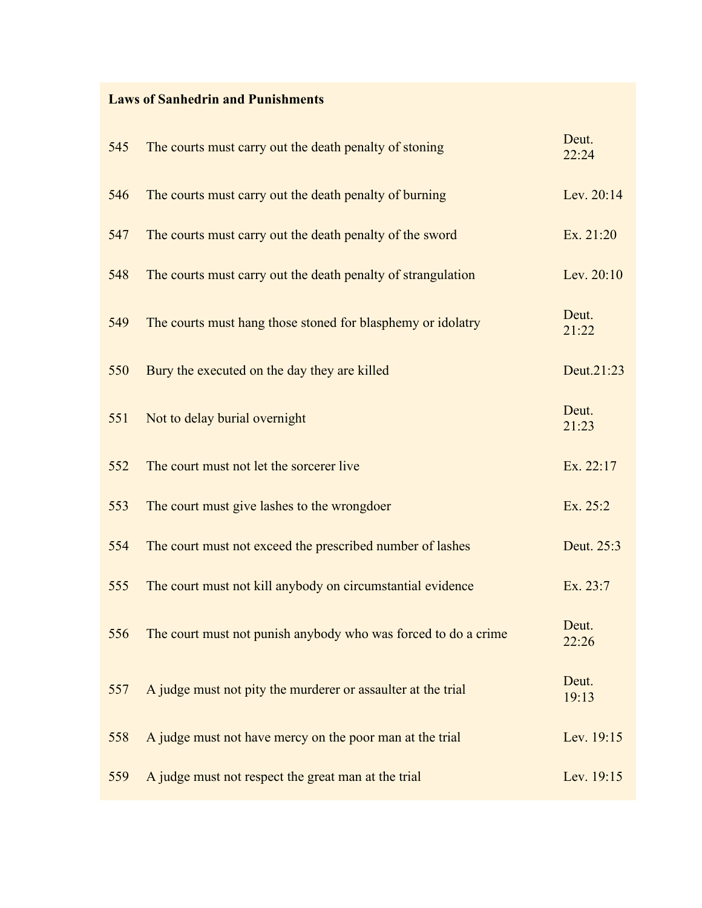### **Laws of Sanhedrin and Punishments**

| 545 | The courts must carry out the death penalty of stoning         | Deut.<br>22:24 |
|-----|----------------------------------------------------------------|----------------|
| 546 | The courts must carry out the death penalty of burning         | Lev. 20:14     |
| 547 | The courts must carry out the death penalty of the sword       | Ex. 21:20      |
| 548 | The courts must carry out the death penalty of strangulation   | Lev. 20:10     |
| 549 | The courts must hang those stoned for blasphemy or idolatry    | Deut.<br>21:22 |
| 550 | Bury the executed on the day they are killed                   | Deut.21:23     |
| 551 | Not to delay burial overnight                                  | Deut.<br>21:23 |
| 552 | The court must not let the sorcerer live                       | Ex. 22:17      |
| 553 | The court must give lashes to the wrongdoer                    | Ex. 25:2       |
| 554 | The court must not exceed the prescribed number of lashes      | Deut. 25:3     |
| 555 | The court must not kill anybody on circumstantial evidence     | Ex. 23:7       |
| 556 | The court must not punish anybody who was forced to do a crime | Deut.<br>22:26 |
| 557 | A judge must not pity the murderer or assaulter at the trial   | Deut.<br>19:13 |
| 558 | A judge must not have mercy on the poor man at the trial       | Lev. 19:15     |
| 559 | A judge must not respect the great man at the trial            | Lev. 19:15     |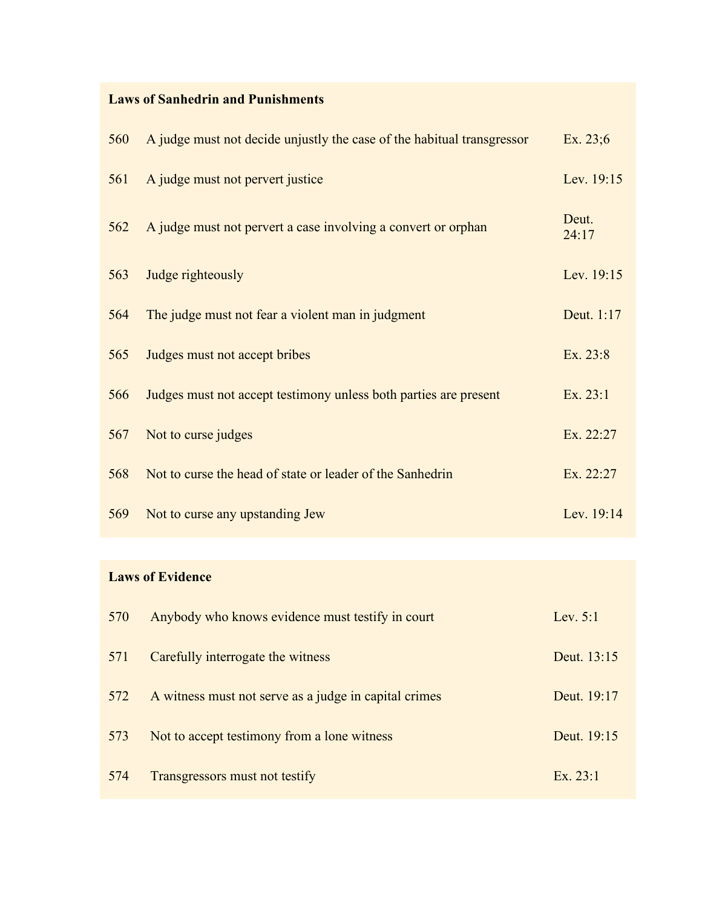### **Laws of Sanhedrin and Punishments**

| 560 | A judge must not decide unjustly the case of the habitual transgressor | Ex. $23:6$     |
|-----|------------------------------------------------------------------------|----------------|
| 561 | A judge must not pervert justice                                       | Lev. 19:15     |
| 562 | A judge must not pervert a case involving a convert or orphan          | Deut.<br>24:17 |
| 563 | Judge righteously                                                      | Lev. 19:15     |
| 564 | The judge must not fear a violent man in judgment                      | Deut. 1:17     |
| 565 | Judges must not accept bribes                                          | Ex. 23:8       |
| 566 | Judges must not accept testimony unless both parties are present       | Ex. 23:1       |
| 567 | Not to curse judges                                                    | Ex. 22:27      |
| 568 | Not to curse the head of state or leader of the Sanhedrin              | Ex. 22:27      |
| 569 | Not to curse any upstanding Jew                                        | Lev. 19:14     |

### **Laws of Evidence**

| 570 | Anybody who knows evidence must testify in court      | Lev. $5:1$  |
|-----|-------------------------------------------------------|-------------|
| 571 | Carefully interrogate the witness                     | Deut. 13:15 |
| 572 | A witness must not serve as a judge in capital crimes | Deut. 19:17 |
| 573 | Not to accept testimony from a lone witness           | Deut. 19:15 |
| 574 | Transgressors must not testify                        | Ex. 23:1    |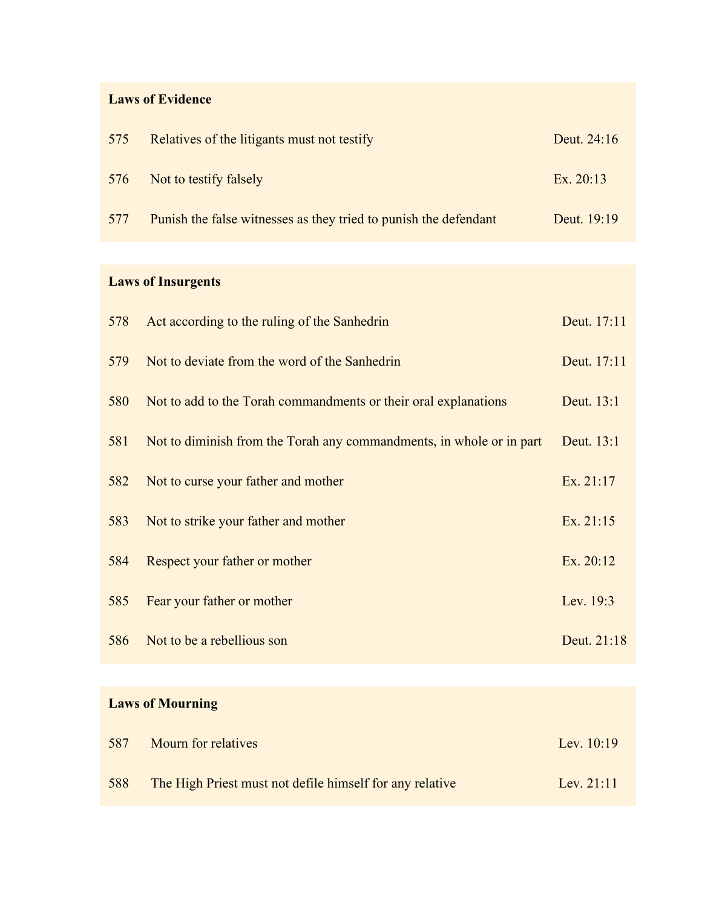### **Laws of Evidence**

| 575 | Relatives of the litigants must not testify                      | Deut. 24:16 |
|-----|------------------------------------------------------------------|-------------|
| 576 | Not to testify falsely                                           | Ex. $20:13$ |
| 577 | Punish the false witnesses as they tried to punish the defendant | Deut. 19:19 |

# **Laws of Insurgents**

| 578 | Act according to the ruling of the Sanhedrin                         | Deut. 17:11 |
|-----|----------------------------------------------------------------------|-------------|
| 579 | Not to deviate from the word of the Sanhedrin                        | Deut. 17:11 |
| 580 | Not to add to the Torah commandments or their oral explanations      | Deut. 13:1  |
| 581 | Not to diminish from the Torah any commandments, in whole or in part | Deut. 13:1  |
| 582 | Not to curse your father and mother                                  | Ex. 21:17   |
| 583 | Not to strike your father and mother                                 | Ex. 21:15   |
| 584 | Respect your father or mother                                        | Ex. 20:12   |
| 585 | Fear your father or mother                                           | Lev. 19:3   |
| 586 | Not to be a rebellious son                                           | Deut. 21:18 |
|     |                                                                      |             |

# **Laws of Mourning**

| 587 | Mourn for relatives                                      | Lev. $10:19$ |
|-----|----------------------------------------------------------|--------------|
| 588 | The High Priest must not defile himself for any relative | Lev. $21:11$ |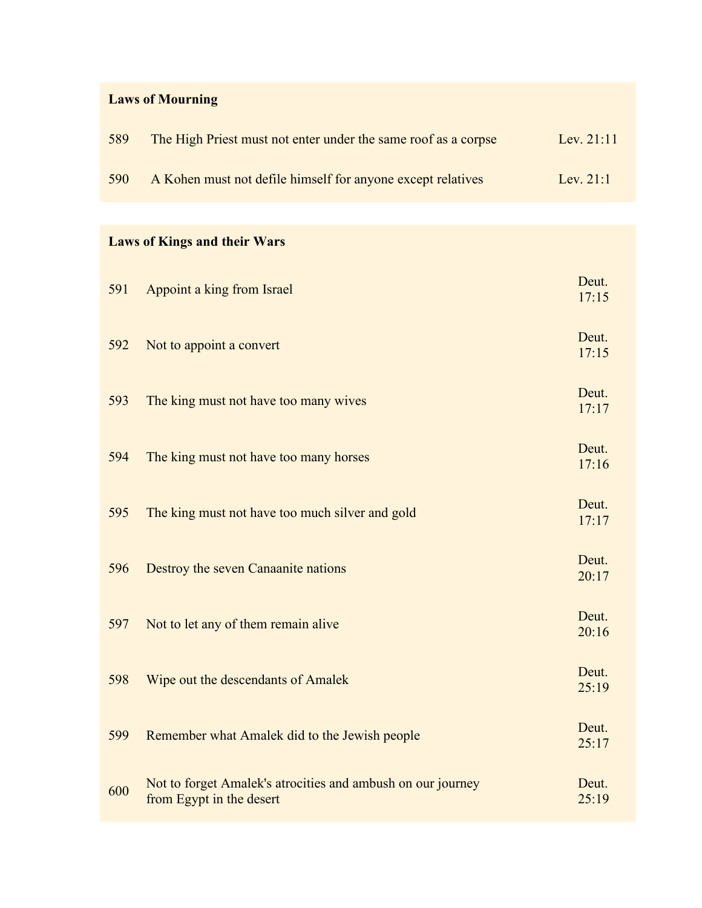# **Laws of Mourning**

| 589 | The High Priest must not enter under the same roof as a corpse | Lev. $21:11$ |
|-----|----------------------------------------------------------------|--------------|
| 590 | A Kohen must not defile himself for anyone except relatives    | Lev. $21:1$  |

# **Laws of Kings and their Wars**

| 591 | Appoint a king from Israel                                                              | Deut.<br>17:15 |
|-----|-----------------------------------------------------------------------------------------|----------------|
| 592 | Not to appoint a convert                                                                | Deut.<br>17:15 |
| 593 | The king must not have too many wives                                                   | Deut.<br>17:17 |
| 594 | The king must not have too many horses                                                  | Deut.<br>17:16 |
| 595 | The king must not have too much silver and gold                                         | Deut.<br>17:17 |
| 596 | Destroy the seven Canaanite nations                                                     | Deut.<br>20:17 |
| 597 | Not to let any of them remain alive                                                     | Deut.<br>20:16 |
| 598 | Wipe out the descendants of Amalek                                                      | Deut.<br>25:19 |
| 599 | Remember what Amalek did to the Jewish people                                           | Deut.<br>25:17 |
| 600 | Not to forget Amalek's atrocities and ambush on our journey<br>from Egypt in the desert | Deut.<br>25:19 |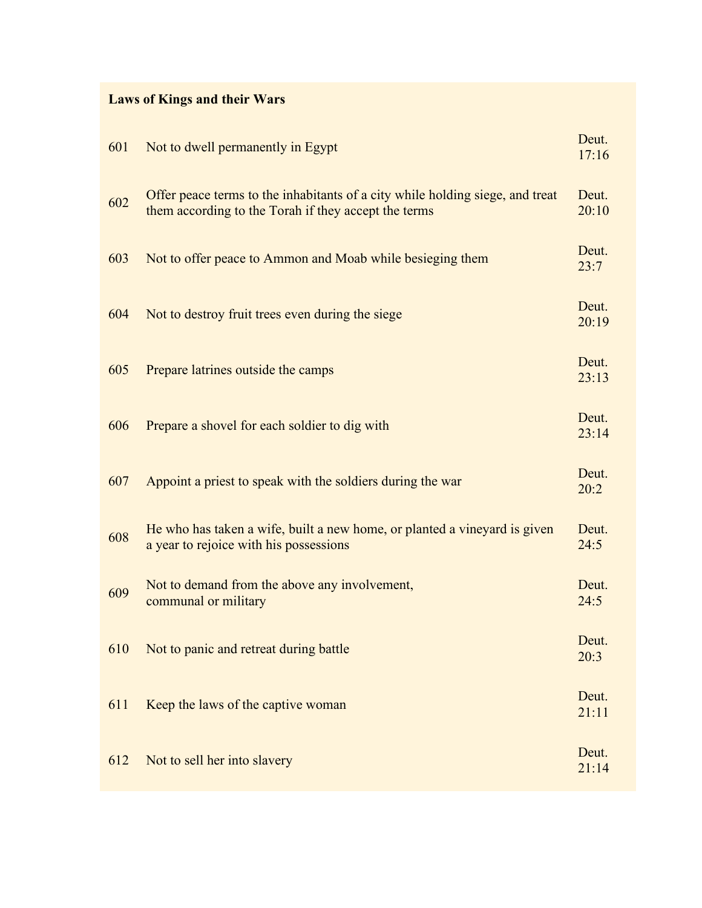# **Laws of Kings and their Wars**

| 601 | Not to dwell permanently in Egypt                                                                                                     | Deut.<br>17:16 |
|-----|---------------------------------------------------------------------------------------------------------------------------------------|----------------|
| 602 | Offer peace terms to the inhabitants of a city while holding siege, and treat<br>them according to the Torah if they accept the terms | Deut.<br>20:10 |
| 603 | Not to offer peace to Ammon and Moab while besieging them                                                                             | Deut.<br>23:7  |
| 604 | Not to destroy fruit trees even during the siege                                                                                      | Deut.<br>20:19 |
| 605 | Prepare latrines outside the camps                                                                                                    | Deut.<br>23:13 |
| 606 | Prepare a shovel for each soldier to dig with                                                                                         | Deut.<br>23:14 |
| 607 | Appoint a priest to speak with the soldiers during the war                                                                            | Deut.<br>20:2  |
| 608 | He who has taken a wife, built a new home, or planted a vineyard is given<br>a year to rejoice with his possessions                   | Deut.<br>24:5  |
| 609 | Not to demand from the above any involvement,<br>communal or military                                                                 | Deut.<br>24:5  |
|     | 610 Not to panic and retreat during battle                                                                                            | Deut.<br>20:3  |
| 611 | Keep the laws of the captive woman                                                                                                    | Deut.<br>21:11 |
| 612 | Not to sell her into slavery                                                                                                          | Deut.<br>21:14 |